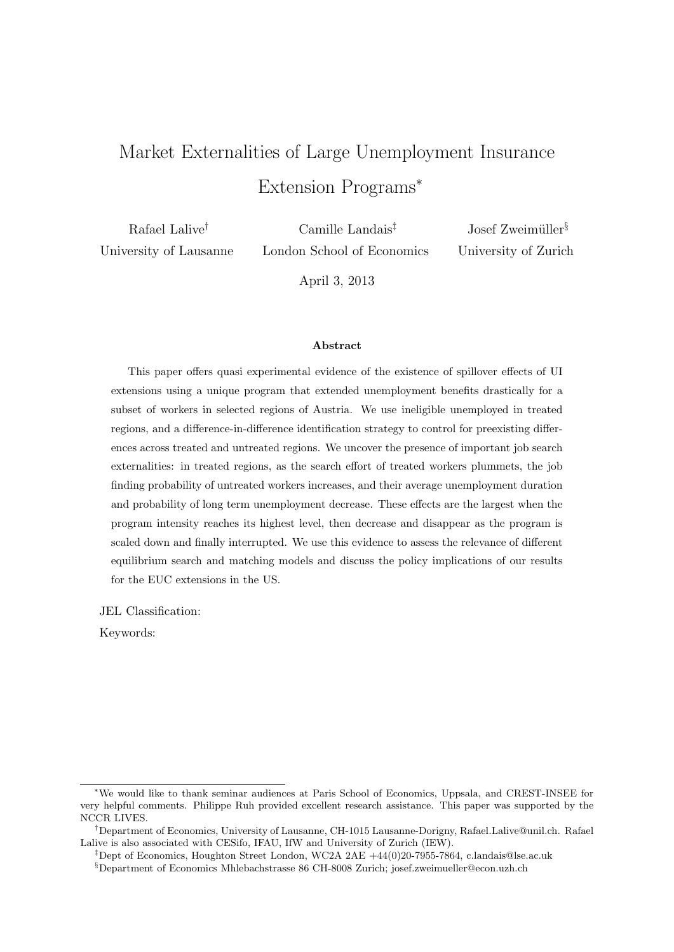# Market Externalities of Large Unemployment Insurance Extension Programs<sup>∗</sup>

Rafael Lalive† University of Lausanne

Camille Landais‡ London School of Economics

Josef Zweimüller<sup>§</sup> University of Zurich

April 3, 2013

#### Abstract

This paper offers quasi experimental evidence of the existence of spillover effects of UI extensions using a unique program that extended unemployment benefits drastically for a subset of workers in selected regions of Austria. We use ineligible unemployed in treated regions, and a difference-in-difference identification strategy to control for preexisting differences across treated and untreated regions. We uncover the presence of important job search externalities: in treated regions, as the search effort of treated workers plummets, the job finding probability of untreated workers increases, and their average unemployment duration and probability of long term unemployment decrease. These effects are the largest when the program intensity reaches its highest level, then decrease and disappear as the program is scaled down and finally interrupted. We use this evidence to assess the relevance of different equilibrium search and matching models and discuss the policy implications of our results for the EUC extensions in the US.

JEL Classification:

Keywords:

<sup>∗</sup>We would like to thank seminar audiences at Paris School of Economics, Uppsala, and CREST-INSEE for very helpful comments. Philippe Ruh provided excellent research assistance. This paper was supported by the NCCR LIVES.

<sup>†</sup>Department of Economics, University of Lausanne, CH-1015 Lausanne-Dorigny, Rafael.Lalive@unil.ch. Rafael Lalive is also associated with CESifo, IFAU, IfW and University of Zurich (IEW).

<sup>‡</sup>Dept of Economics, Houghton Street London, WC2A 2AE +44(0)20-7955-7864, c.landais@lse.ac.uk

<sup>§</sup>Department of Economics Mhlebachstrasse 86 CH-8008 Zurich; josef.zweimueller@econ.uzh.ch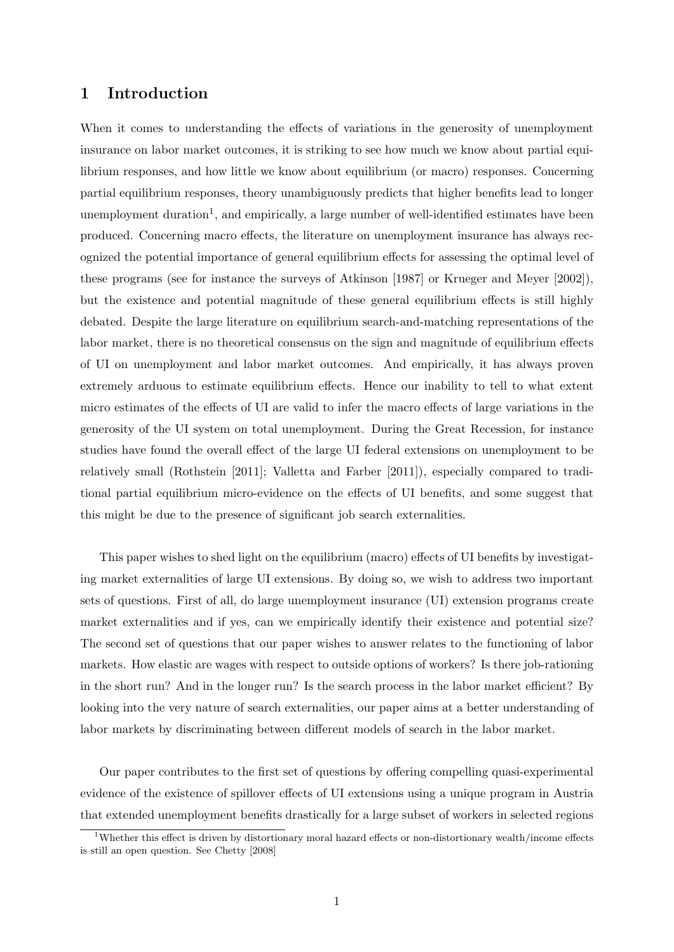#### 1 Introduction

When it comes to understanding the effects of variations in the generosity of unemployment insurance on labor market outcomes, it is striking to see how much we know about partial equilibrium responses, and how little we know about equilibrium (or macro) responses. Concerning partial equilibrium responses, theory unambiguously predicts that higher benefits lead to longer unemployment duration<sup>1</sup>, and empirically, a large number of well-identified estimates have been produced. Concerning macro effects, the literature on unemployment insurance has always recognized the potential importance of general equilibrium effects for assessing the optimal level of these programs (see for instance the surveys of Atkinson [1987] or Krueger and Meyer [2002]), but the existence and potential magnitude of these general equilibrium effects is still highly debated. Despite the large literature on equilibrium search-and-matching representations of the labor market, there is no theoretical consensus on the sign and magnitude of equilibrium effects of UI on unemployment and labor market outcomes. And empirically, it has always proven extremely arduous to estimate equilibrium effects. Hence our inability to tell to what extent micro estimates of the effects of UI are valid to infer the macro effects of large variations in the generosity of the UI system on total unemployment. During the Great Recession, for instance studies have found the overall effect of the large UI federal extensions on unemployment to be relatively small (Rothstein [2011]; Valletta and Farber [2011]), especially compared to traditional partial equilibrium micro-evidence on the effects of UI benefits, and some suggest that this might be due to the presence of significant job search externalities.

This paper wishes to shed light on the equilibrium (macro) effects of UI benefits by investigating market externalities of large UI extensions. By doing so, we wish to address two important sets of questions. First of all, do large unemployment insurance (UI) extension programs create market externalities and if yes, can we empirically identify their existence and potential size? The second set of questions that our paper wishes to answer relates to the functioning of labor markets. How elastic are wages with respect to outside options of workers? Is there job-rationing in the short run? And in the longer run? Is the search process in the labor market efficient? By looking into the very nature of search externalities, our paper aims at a better understanding of labor markets by discriminating between different models of search in the labor market.

Our paper contributes to the first set of questions by offering compelling quasi-experimental evidence of the existence of spillover effects of UI extensions using a unique program in Austria that extended unemployment benefits drastically for a large subset of workers in selected regions

<sup>&</sup>lt;sup>1</sup>Whether this effect is driven by distortionary moral hazard effects or non-distortionary wealth/income effects is still an open question. See Chetty [2008]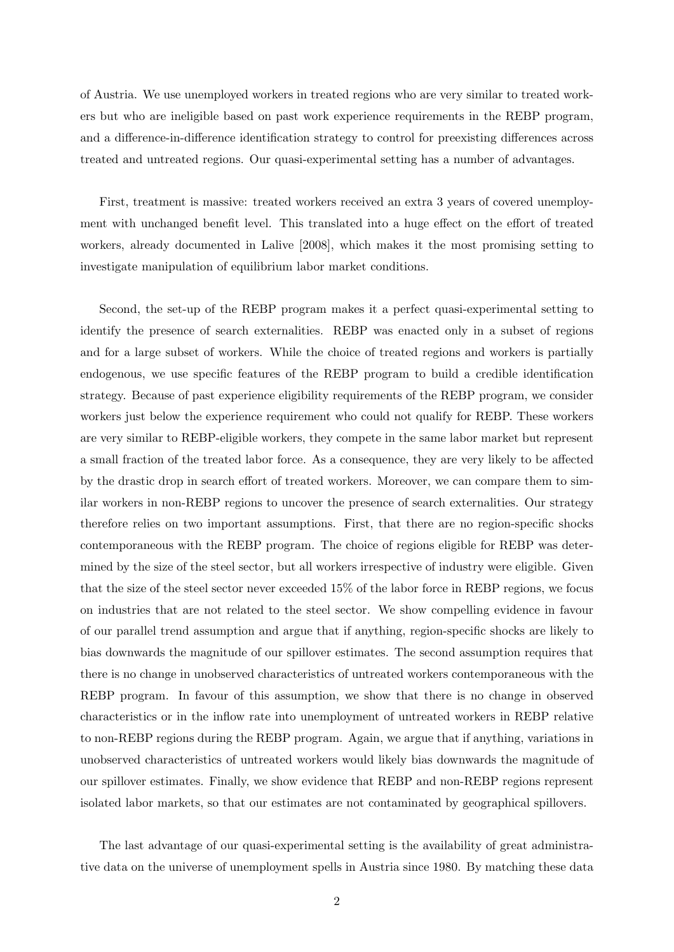of Austria. We use unemployed workers in treated regions who are very similar to treated workers but who are ineligible based on past work experience requirements in the REBP program, and a difference-in-difference identification strategy to control for preexisting differences across treated and untreated regions. Our quasi-experimental setting has a number of advantages.

First, treatment is massive: treated workers received an extra 3 years of covered unemployment with unchanged benefit level. This translated into a huge effect on the effort of treated workers, already documented in Lalive [2008], which makes it the most promising setting to investigate manipulation of equilibrium labor market conditions.

Second, the set-up of the REBP program makes it a perfect quasi-experimental setting to identify the presence of search externalities. REBP was enacted only in a subset of regions and for a large subset of workers. While the choice of treated regions and workers is partially endogenous, we use specific features of the REBP program to build a credible identification strategy. Because of past experience eligibility requirements of the REBP program, we consider workers just below the experience requirement who could not qualify for REBP. These workers are very similar to REBP-eligible workers, they compete in the same labor market but represent a small fraction of the treated labor force. As a consequence, they are very likely to be affected by the drastic drop in search effort of treated workers. Moreover, we can compare them to similar workers in non-REBP regions to uncover the presence of search externalities. Our strategy therefore relies on two important assumptions. First, that there are no region-specific shocks contemporaneous with the REBP program. The choice of regions eligible for REBP was determined by the size of the steel sector, but all workers irrespective of industry were eligible. Given that the size of the steel sector never exceeded 15% of the labor force in REBP regions, we focus on industries that are not related to the steel sector. We show compelling evidence in favour of our parallel trend assumption and argue that if anything, region-specific shocks are likely to bias downwards the magnitude of our spillover estimates. The second assumption requires that there is no change in unobserved characteristics of untreated workers contemporaneous with the REBP program. In favour of this assumption, we show that there is no change in observed characteristics or in the inflow rate into unemployment of untreated workers in REBP relative to non-REBP regions during the REBP program. Again, we argue that if anything, variations in unobserved characteristics of untreated workers would likely bias downwards the magnitude of our spillover estimates. Finally, we show evidence that REBP and non-REBP regions represent isolated labor markets, so that our estimates are not contaminated by geographical spillovers.

The last advantage of our quasi-experimental setting is the availability of great administrative data on the universe of unemployment spells in Austria since 1980. By matching these data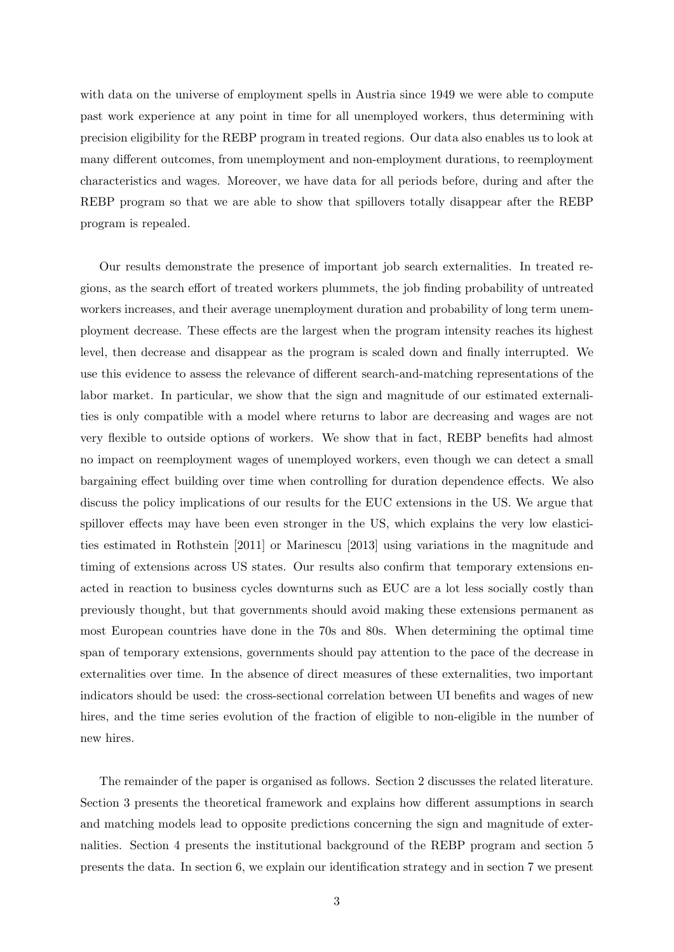with data on the universe of employment spells in Austria since 1949 we were able to compute past work experience at any point in time for all unemployed workers, thus determining with precision eligibility for the REBP program in treated regions. Our data also enables us to look at many different outcomes, from unemployment and non-employment durations, to reemployment characteristics and wages. Moreover, we have data for all periods before, during and after the REBP program so that we are able to show that spillovers totally disappear after the REBP program is repealed.

Our results demonstrate the presence of important job search externalities. In treated regions, as the search effort of treated workers plummets, the job finding probability of untreated workers increases, and their average unemployment duration and probability of long term unemployment decrease. These effects are the largest when the program intensity reaches its highest level, then decrease and disappear as the program is scaled down and finally interrupted. We use this evidence to assess the relevance of different search-and-matching representations of the labor market. In particular, we show that the sign and magnitude of our estimated externalities is only compatible with a model where returns to labor are decreasing and wages are not very flexible to outside options of workers. We show that in fact, REBP benefits had almost no impact on reemployment wages of unemployed workers, even though we can detect a small bargaining effect building over time when controlling for duration dependence effects. We also discuss the policy implications of our results for the EUC extensions in the US. We argue that spillover effects may have been even stronger in the US, which explains the very low elasticities estimated in Rothstein [2011] or Marinescu [2013] using variations in the magnitude and timing of extensions across US states. Our results also confirm that temporary extensions enacted in reaction to business cycles downturns such as EUC are a lot less socially costly than previously thought, but that governments should avoid making these extensions permanent as most European countries have done in the 70s and 80s. When determining the optimal time span of temporary extensions, governments should pay attention to the pace of the decrease in externalities over time. In the absence of direct measures of these externalities, two important indicators should be used: the cross-sectional correlation between UI benefits and wages of new hires, and the time series evolution of the fraction of eligible to non-eligible in the number of new hires.

The remainder of the paper is organised as follows. Section 2 discusses the related literature. Section 3 presents the theoretical framework and explains how different assumptions in search and matching models lead to opposite predictions concerning the sign and magnitude of externalities. Section 4 presents the institutional background of the REBP program and section 5 presents the data. In section 6, we explain our identification strategy and in section 7 we present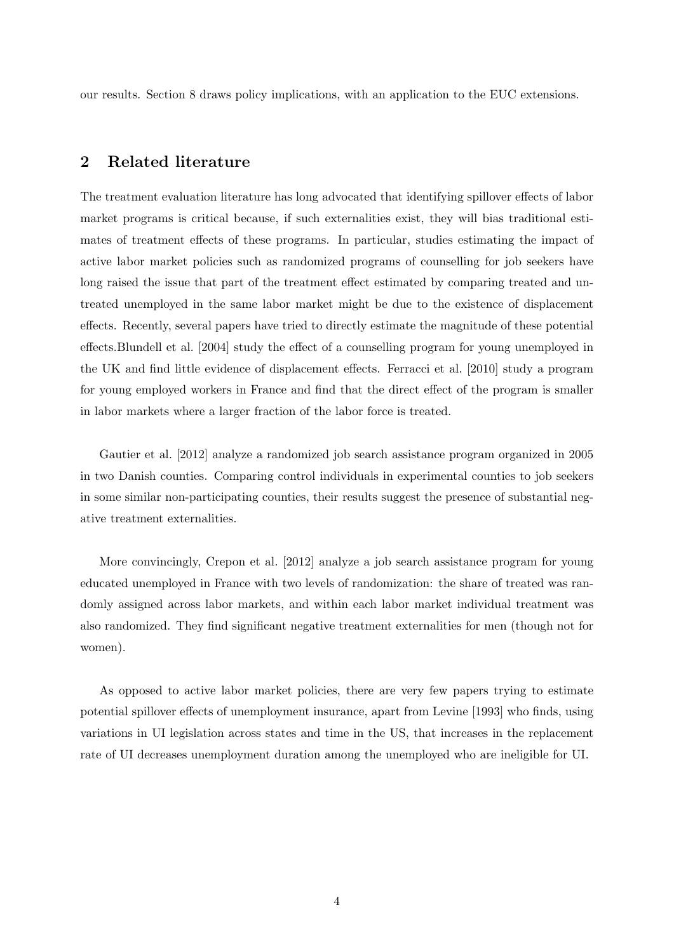our results. Section 8 draws policy implications, with an application to the EUC extensions.

### 2 Related literature

The treatment evaluation literature has long advocated that identifying spillover effects of labor market programs is critical because, if such externalities exist, they will bias traditional estimates of treatment effects of these programs. In particular, studies estimating the impact of active labor market policies such as randomized programs of counselling for job seekers have long raised the issue that part of the treatment effect estimated by comparing treated and untreated unemployed in the same labor market might be due to the existence of displacement effects. Recently, several papers have tried to directly estimate the magnitude of these potential effects.Blundell et al. [2004] study the effect of a counselling program for young unemployed in the UK and find little evidence of displacement effects. Ferracci et al. [2010] study a program for young employed workers in France and find that the direct effect of the program is smaller in labor markets where a larger fraction of the labor force is treated.

Gautier et al. [2012] analyze a randomized job search assistance program organized in 2005 in two Danish counties. Comparing control individuals in experimental counties to job seekers in some similar non-participating counties, their results suggest the presence of substantial negative treatment externalities.

More convincingly, Crepon et al. [2012] analyze a job search assistance program for young educated unemployed in France with two levels of randomization: the share of treated was randomly assigned across labor markets, and within each labor market individual treatment was also randomized. They find significant negative treatment externalities for men (though not for women).

As opposed to active labor market policies, there are very few papers trying to estimate potential spillover effects of unemployment insurance, apart from Levine [1993] who finds, using variations in UI legislation across states and time in the US, that increases in the replacement rate of UI decreases unemployment duration among the unemployed who are ineligible for UI.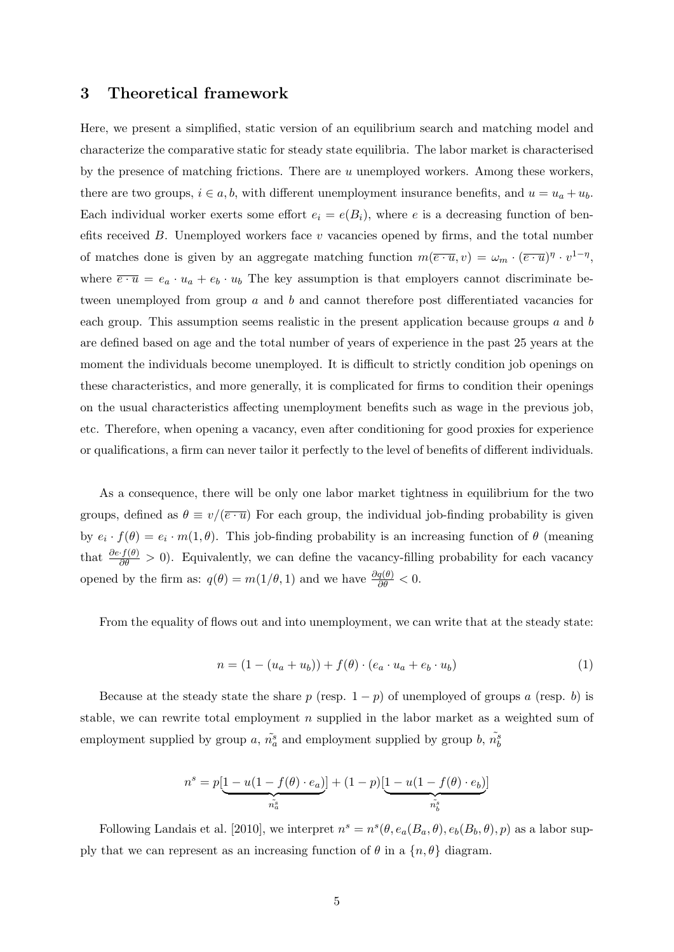#### 3 Theoretical framework

Here, we present a simplified, static version of an equilibrium search and matching model and characterize the comparative static for steady state equilibria. The labor market is characterised by the presence of matching frictions. There are u unemployed workers. Among these workers, there are two groups,  $i \in a, b$ , with different unemployment insurance benefits, and  $u = u_a + u_b$ . Each individual worker exerts some effort  $e_i = e(B_i)$ , where e is a decreasing function of benefits received  $B$ . Unemployed workers face  $v$  vacancies opened by firms, and the total number of matches done is given by an aggregate matching function  $m(\overline{e \cdot u}, v) = \omega_m \cdot (\overline{e \cdot u})^{\eta} \cdot v^{1-\eta}$ , where  $\overline{e \cdot u} = e_a \cdot u_a + e_b \cdot u_b$  The key assumption is that employers cannot discriminate between unemployed from group  $a$  and  $b$  and cannot therefore post differentiated vacancies for each group. This assumption seems realistic in the present application because groups a and b are defined based on age and the total number of years of experience in the past 25 years at the moment the individuals become unemployed. It is difficult to strictly condition job openings on these characteristics, and more generally, it is complicated for firms to condition their openings on the usual characteristics affecting unemployment benefits such as wage in the previous job, etc. Therefore, when opening a vacancy, even after conditioning for good proxies for experience or qualifications, a firm can never tailor it perfectly to the level of benefits of different individuals.

As a consequence, there will be only one labor market tightness in equilibrium for the two groups, defined as  $\theta \equiv v/(\overline{e \cdot u})$  For each group, the individual job-finding probability is given by  $e_i \cdot f(\theta) = e_i \cdot m(1, \theta)$ . This job-finding probability is an increasing function of  $\theta$  (meaning that  $\frac{\partial e \cdot f(\theta)}{\partial \theta} > 0$ . Equivalently, we can define the vacancy-filling probability for each vacancy opened by the firm as:  $q(\theta) = m(1/\theta, 1)$  and we have  $\frac{\partial q(\theta)}{\partial \theta} < 0$ .

From the equality of flows out and into unemployment, we can write that at the steady state:

$$
n = (1 - (u_a + u_b)) + f(\theta) \cdot (e_a \cdot u_a + e_b \cdot u_b)
$$
\n<sup>(1)</sup>

Because at the steady state the share p (resp.  $1 - p$ ) of unemployed of groups a (resp. b) is stable, we can rewrite total employment n supplied in the labor market as a weighted sum of employment supplied by group a,  $\tilde{n_a}$  and employment supplied by group b,  $\tilde{n_b}$ 

$$
n^s = p[\underbrace{1 - u(1 - f(\theta) \cdot e_a)}_{\tilde{n_a^s}}] + (1 - p)[\underbrace{1 - u(1 - f(\theta) \cdot e_b)}_{\tilde{n_b^s}}]
$$

Following Landais et al. [2010], we interpret  $n^s = n^s(\theta, e_a(B_a, \theta), e_b(B_b, \theta), p)$  as a labor supply that we can represent as an increasing function of  $\theta$  in a  $\{n, \theta\}$  diagram.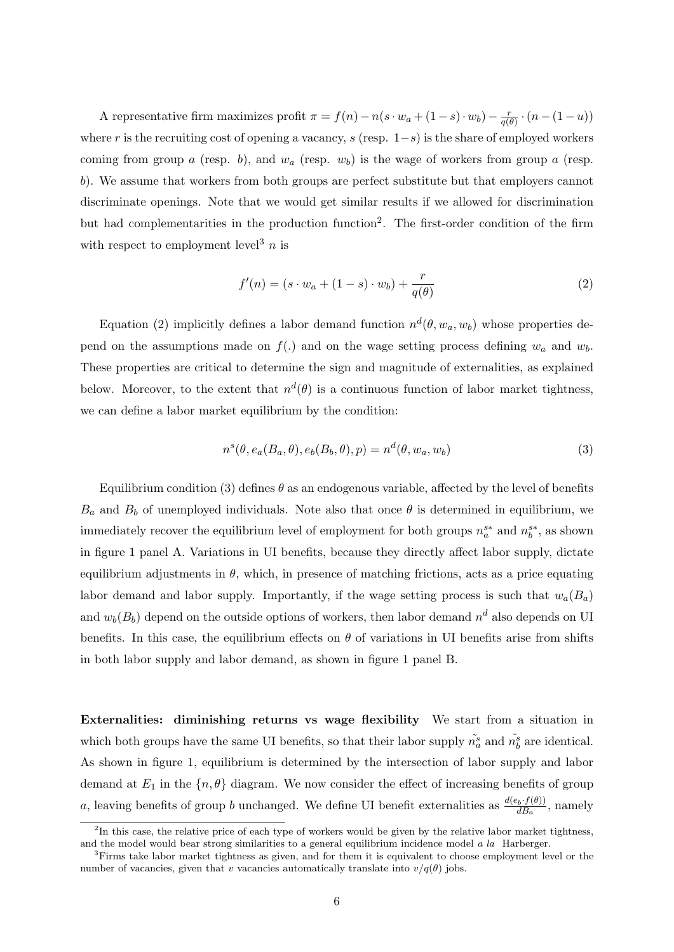A representative firm maximizes profit  $\pi = f(n) - n(s \cdot w_a + (1 - s) \cdot w_b) - \frac{r}{g(n)}$  $\frac{r}{q(\theta)} \cdot (n - (1 - u))$ where r is the recruiting cost of opening a vacancy, s (resp.  $1-s$ ) is the share of employed workers coming from group a (resp. b), and  $w_a$  (resp.  $w_b$ ) is the wage of workers from group a (resp. b). We assume that workers from both groups are perfect substitute but that employers cannot discriminate openings. Note that we would get similar results if we allowed for discrimination but had complementarities in the production function<sup>2</sup>. The first-order condition of the firm with respect to employment level<sup>3</sup> *n* is

$$
f'(n) = (s \cdot w_a + (1 - s) \cdot w_b) + \frac{r}{q(\theta)}
$$
 (2)

Equation (2) implicitly defines a labor demand function  $n^d(\theta, w_a, w_b)$  whose properties depend on the assumptions made on  $f(.)$  and on the wage setting process defining  $w_a$  and  $w_b$ . These properties are critical to determine the sign and magnitude of externalities, as explained below. Moreover, to the extent that  $n^d(\theta)$  is a continuous function of labor market tightness, we can define a labor market equilibrium by the condition:

$$
n^{s}(\theta, e_{a}(B_{a}, \theta), e_{b}(B_{b}, \theta), p) = n^{d}(\theta, w_{a}, w_{b})
$$
\n(3)

Equilibrium condition (3) defines  $\theta$  as an endogenous variable, affected by the level of benefits  $B_a$  and  $B_b$  of unemployed individuals. Note also that once  $\theta$  is determined in equilibrium, we immediately recover the equilibrium level of employment for both groups  $n_a^{s*}$  and  $n_b^{s*}$ , as shown in figure 1 panel A. Variations in UI benefits, because they directly affect labor supply, dictate equilibrium adjustments in  $\theta$ , which, in presence of matching frictions, acts as a price equating labor demand and labor supply. Importantly, if the wage setting process is such that  $w_a(B_a)$ and  $w_b(B_b)$  depend on the outside options of workers, then labor demand  $n^d$  also depends on UI benefits. In this case, the equilibrium effects on  $\theta$  of variations in UI benefits arise from shifts in both labor supply and labor demand, as shown in figure 1 panel B.

Externalities: diminishing returns vs wage flexibility We start from a situation in which both groups have the same UI benefits, so that their labor supply  $\tilde{n}_a^s$  and  $\tilde{n}_b^s$  are identical. As shown in figure 1, equilibrium is determined by the intersection of labor supply and labor demand at  $E_1$  in the  $\{n, \theta\}$  diagram. We now consider the effect of increasing benefits of group a, leaving benefits of group b unchanged. We define UI benefit externalities as  $\frac{d(e_b \cdot f(\theta))}{dB_a}$ , namely

<sup>&</sup>lt;sup>2</sup>In this case, the relative price of each type of workers would be given by the relative labor market tightness, and the model would bear strong similarities to a general equilibrium incidence model a la Harberger.

<sup>3</sup>Firms take labor market tightness as given, and for them it is equivalent to choose employment level or the number of vacancies, given that v vacancies automatically translate into  $v/q(\theta)$  jobs.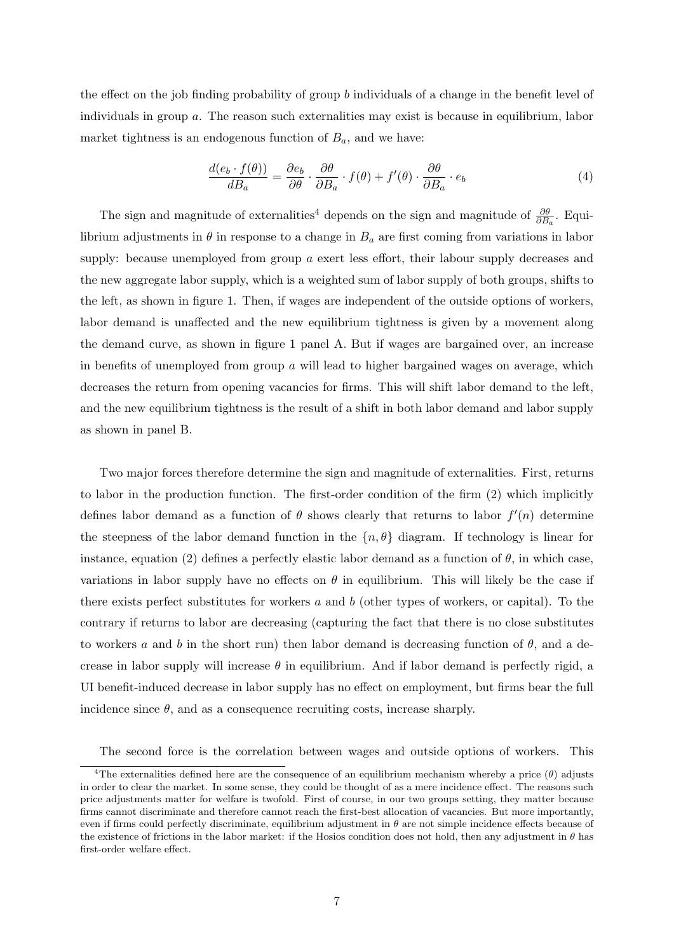the effect on the job finding probability of group b individuals of a change in the benefit level of individuals in group a. The reason such externalities may exist is because in equilibrium, labor market tightness is an endogenous function of  $B_a$ , and we have:

$$
\frac{d(e_b \cdot f(\theta))}{dB_a} = \frac{\partial e_b}{\partial \theta} \cdot \frac{\partial \theta}{\partial B_a} \cdot f(\theta) + f'(\theta) \cdot \frac{\partial \theta}{\partial B_a} \cdot e_b \tag{4}
$$

The sign and magnitude of externalities<sup>4</sup> depends on the sign and magnitude of  $\frac{\partial \theta}{\partial B_a}$ . Equilibrium adjustments in  $\theta$  in response to a change in  $B_a$  are first coming from variations in labor supply: because unemployed from group a exert less effort, their labour supply decreases and the new aggregate labor supply, which is a weighted sum of labor supply of both groups, shifts to the left, as shown in figure 1. Then, if wages are independent of the outside options of workers, labor demand is unaffected and the new equilibrium tightness is given by a movement along the demand curve, as shown in figure 1 panel A. But if wages are bargained over, an increase in benefits of unemployed from group  $\alpha$  will lead to higher bargained wages on average, which decreases the return from opening vacancies for firms. This will shift labor demand to the left, and the new equilibrium tightness is the result of a shift in both labor demand and labor supply as shown in panel B.

Two major forces therefore determine the sign and magnitude of externalities. First, returns to labor in the production function. The first-order condition of the firm (2) which implicitly defines labor demand as a function of  $\theta$  shows clearly that returns to labor  $f'(n)$  determine the steepness of the labor demand function in the  $\{n, \theta\}$  diagram. If technology is linear for instance, equation (2) defines a perfectly elastic labor demand as a function of  $\theta$ , in which case, variations in labor supply have no effects on  $\theta$  in equilibrium. This will likely be the case if there exists perfect substitutes for workers  $a$  and  $b$  (other types of workers, or capital). To the contrary if returns to labor are decreasing (capturing the fact that there is no close substitutes to workers a and b in the short run) then labor demand is decreasing function of  $\theta$ , and a decrease in labor supply will increase  $\theta$  in equilibrium. And if labor demand is perfectly rigid, a UI benefit-induced decrease in labor supply has no effect on employment, but firms bear the full incidence since  $\theta$ , and as a consequence recruiting costs, increase sharply.

The second force is the correlation between wages and outside options of workers. This

<sup>&</sup>lt;sup>4</sup>The externalities defined here are the consequence of an equilibrium mechanism whereby a price (θ) adjusts in order to clear the market. In some sense, they could be thought of as a mere incidence effect. The reasons such price adjustments matter for welfare is twofold. First of course, in our two groups setting, they matter because firms cannot discriminate and therefore cannot reach the first-best allocation of vacancies. But more importantly, even if firms could perfectly discriminate, equilibrium adjustment in  $\theta$  are not simple incidence effects because of the existence of frictions in the labor market: if the Hosios condition does not hold, then any adjustment in  $\theta$  has first-order welfare effect.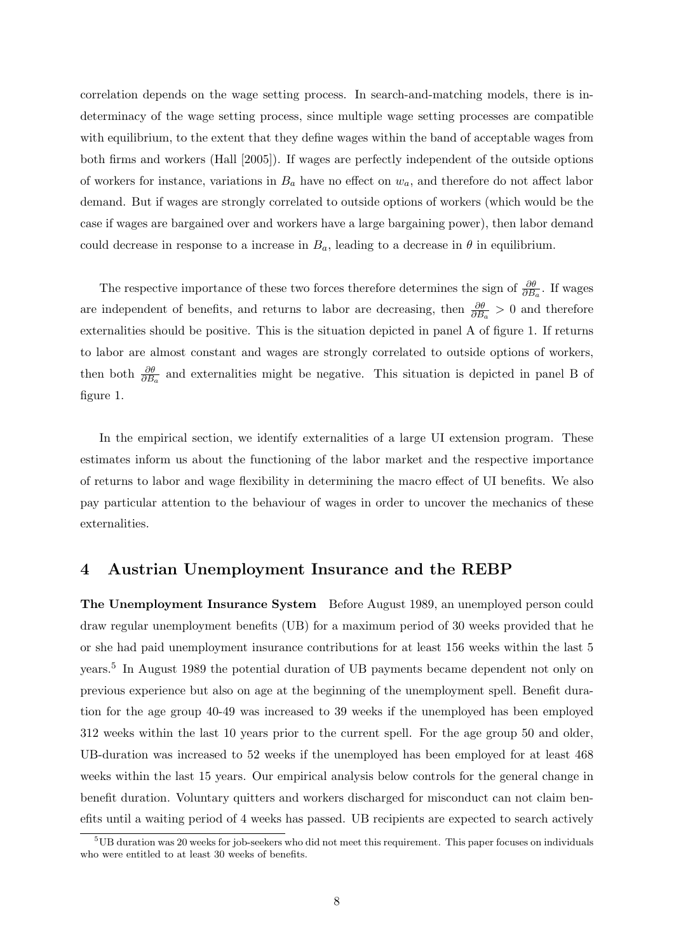correlation depends on the wage setting process. In search-and-matching models, there is indeterminacy of the wage setting process, since multiple wage setting processes are compatible with equilibrium, to the extent that they define wages within the band of acceptable wages from both firms and workers (Hall [2005]). If wages are perfectly independent of the outside options of workers for instance, variations in  $B_a$  have no effect on  $w_a$ , and therefore do not affect labor demand. But if wages are strongly correlated to outside options of workers (which would be the case if wages are bargained over and workers have a large bargaining power), then labor demand could decrease in response to a increase in  $B_a$ , leading to a decrease in  $\theta$  in equilibrium.

The respective importance of these two forces therefore determines the sign of  $\frac{\partial \theta}{\partial B_a}$ . If wages are independent of benefits, and returns to labor are decreasing, then  $\frac{\partial \theta}{\partial B_a} > 0$  and therefore externalities should be positive. This is the situation depicted in panel A of figure 1. If returns to labor are almost constant and wages are strongly correlated to outside options of workers, then both  $\frac{\partial \theta}{\partial B_a}$  and externalities might be negative. This situation is depicted in panel B of figure 1.

In the empirical section, we identify externalities of a large UI extension program. These estimates inform us about the functioning of the labor market and the respective importance of returns to labor and wage flexibility in determining the macro effect of UI benefits. We also pay particular attention to the behaviour of wages in order to uncover the mechanics of these externalities.

#### 4 Austrian Unemployment Insurance and the REBP

The Unemployment Insurance System Before August 1989, an unemployed person could draw regular unemployment benefits (UB) for a maximum period of 30 weeks provided that he or she had paid unemployment insurance contributions for at least 156 weeks within the last 5 years.<sup>5</sup> In August 1989 the potential duration of UB payments became dependent not only on previous experience but also on age at the beginning of the unemployment spell. Benefit duration for the age group 40-49 was increased to 39 weeks if the unemployed has been employed 312 weeks within the last 10 years prior to the current spell. For the age group 50 and older, UB-duration was increased to 52 weeks if the unemployed has been employed for at least 468 weeks within the last 15 years. Our empirical analysis below controls for the general change in benefit duration. Voluntary quitters and workers discharged for misconduct can not claim benefits until a waiting period of 4 weeks has passed. UB recipients are expected to search actively

<sup>&</sup>lt;sup>5</sup>UB duration was 20 weeks for job-seekers who did not meet this requirement. This paper focuses on individuals who were entitled to at least 30 weeks of benefits.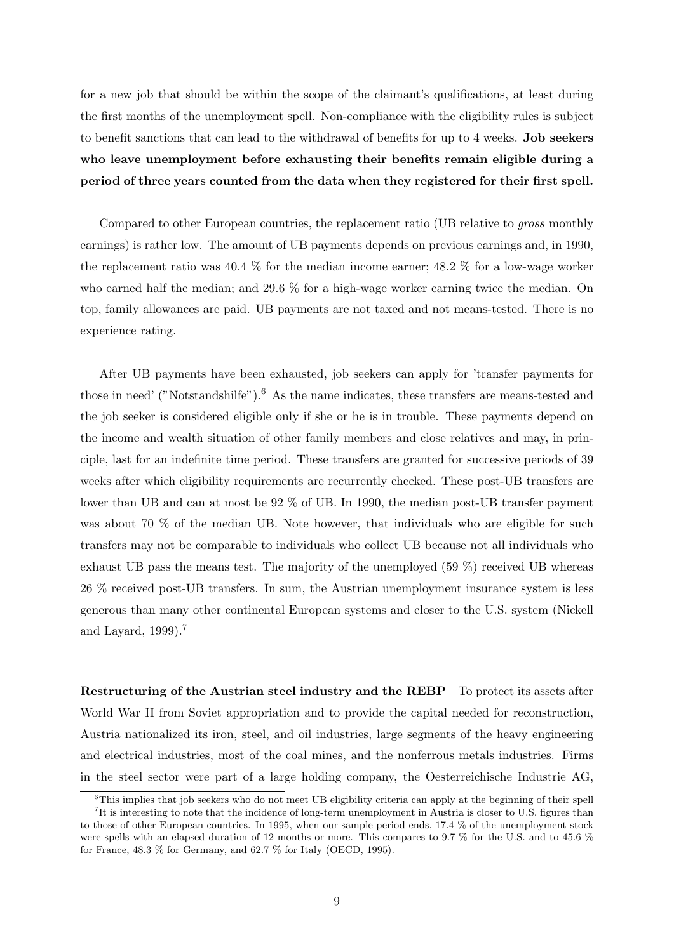for a new job that should be within the scope of the claimant's qualifications, at least during the first months of the unemployment spell. Non-compliance with the eligibility rules is subject to benefit sanctions that can lead to the withdrawal of benefits for up to 4 weeks. Job seekers who leave unemployment before exhausting their benefits remain eligible during a period of three years counted from the data when they registered for their first spell.

Compared to other European countries, the replacement ratio (UB relative to gross monthly earnings) is rather low. The amount of UB payments depends on previous earnings and, in 1990, the replacement ratio was 40.4 % for the median income earner; 48.2 % for a low-wage worker who earned half the median; and 29.6 % for a high-wage worker earning twice the median. On top, family allowances are paid. UB payments are not taxed and not means-tested. There is no experience rating.

After UB payments have been exhausted, job seekers can apply for 'transfer payments for those in need' ("Notstandshilfe").<sup>6</sup> As the name indicates, these transfers are means-tested and the job seeker is considered eligible only if she or he is in trouble. These payments depend on the income and wealth situation of other family members and close relatives and may, in principle, last for an indefinite time period. These transfers are granted for successive periods of 39 weeks after which eligibility requirements are recurrently checked. These post-UB transfers are lower than UB and can at most be 92 % of UB. In 1990, the median post-UB transfer payment was about 70 % of the median UB. Note however, that individuals who are eligible for such transfers may not be comparable to individuals who collect UB because not all individuals who exhaust UB pass the means test. The majority of the unemployed (59 %) received UB whereas 26 % received post-UB transfers. In sum, the Austrian unemployment insurance system is less generous than many other continental European systems and closer to the U.S. system (Nickell and Lavard,  $1999$ ).<sup>7</sup>

Restructuring of the Austrian steel industry and the REBP To protect its assets after World War II from Soviet appropriation and to provide the capital needed for reconstruction, Austria nationalized its iron, steel, and oil industries, large segments of the heavy engineering and electrical industries, most of the coal mines, and the nonferrous metals industries. Firms in the steel sector were part of a large holding company, the Oesterreichische Industrie AG,

 $6$ This implies that job seekers who do not meet UB eligibility criteria can apply at the beginning of their spell <sup>7</sup>It is interesting to note that the incidence of long-term unemployment in Austria is closer to U.S. figures than to those of other European countries. In 1995, when our sample period ends, 17.4 % of the unemployment stock

were spells with an elapsed duration of 12 months or more. This compares to 9.7 % for the U.S. and to 45.6 % for France, 48.3 % for Germany, and 62.7 % for Italy (OECD, 1995).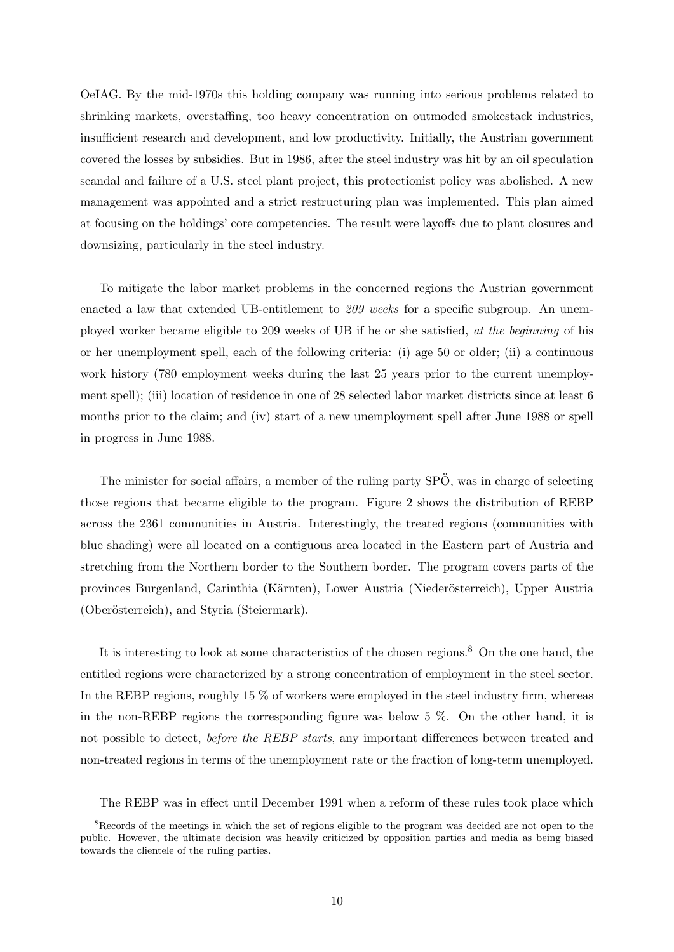OeIAG. By the mid-1970s this holding company was running into serious problems related to shrinking markets, overstaffing, too heavy concentration on outmoded smokestack industries, insufficient research and development, and low productivity. Initially, the Austrian government covered the losses by subsidies. But in 1986, after the steel industry was hit by an oil speculation scandal and failure of a U.S. steel plant project, this protectionist policy was abolished. A new management was appointed and a strict restructuring plan was implemented. This plan aimed at focusing on the holdings' core competencies. The result were layoffs due to plant closures and downsizing, particularly in the steel industry.

To mitigate the labor market problems in the concerned regions the Austrian government enacted a law that extended UB-entitlement to 209 weeks for a specific subgroup. An unemployed worker became eligible to 209 weeks of UB if he or she satisfied, at the beginning of his or her unemployment spell, each of the following criteria: (i) age 50 or older; (ii) a continuous work history (780 employment weeks during the last 25 years prior to the current unemployment spell); (iii) location of residence in one of 28 selected labor market districts since at least 6 months prior to the claim; and (iv) start of a new unemployment spell after June 1988 or spell in progress in June 1988.

The minister for social affairs, a member of the ruling party  $SP\ddot{O}$ , was in charge of selecting those regions that became eligible to the program. Figure 2 shows the distribution of REBP across the 2361 communities in Austria. Interestingly, the treated regions (communities with blue shading) were all located on a contiguous area located in the Eastern part of Austria and stretching from the Northern border to the Southern border. The program covers parts of the provinces Burgenland, Carinthia (Kärnten), Lower Austria (Niederösterreich), Upper Austria (Oberösterreich), and Styria (Steiermark).

It is interesting to look at some characteristics of the chosen regions.<sup>8</sup> On the one hand, the entitled regions were characterized by a strong concentration of employment in the steel sector. In the REBP regions, roughly 15 % of workers were employed in the steel industry firm, whereas in the non-REBP regions the corresponding figure was below 5 %. On the other hand, it is not possible to detect, *before the REBP starts*, any important differences between treated and non-treated regions in terms of the unemployment rate or the fraction of long-term unemployed.

The REBP was in effect until December 1991 when a reform of these rules took place which

<sup>&</sup>lt;sup>8</sup>Records of the meetings in which the set of regions eligible to the program was decided are not open to the public. However, the ultimate decision was heavily criticized by opposition parties and media as being biased towards the clientele of the ruling parties.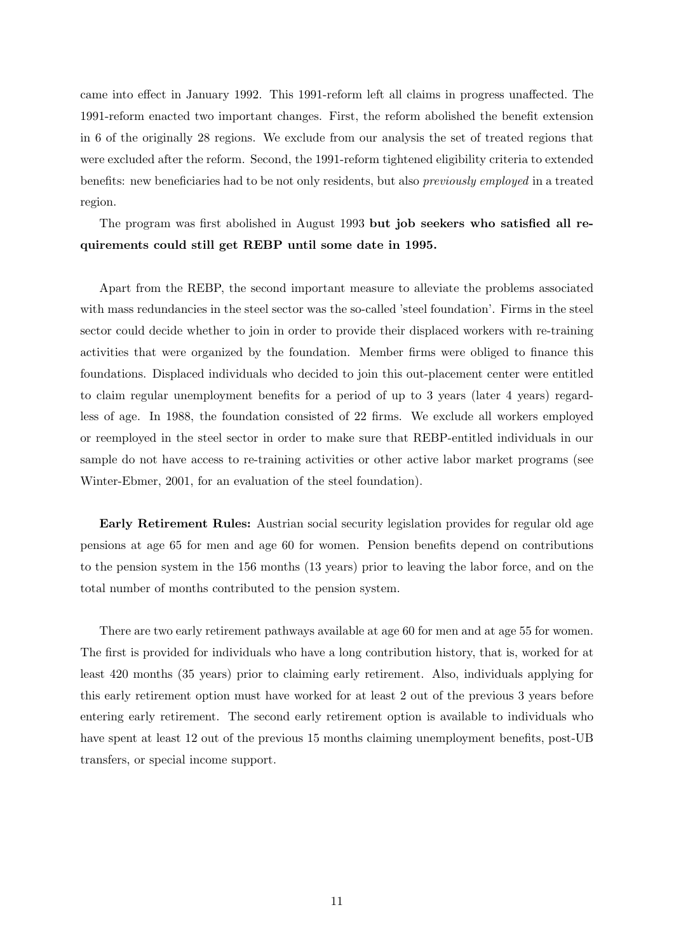came into effect in January 1992. This 1991-reform left all claims in progress unaffected. The 1991-reform enacted two important changes. First, the reform abolished the benefit extension in 6 of the originally 28 regions. We exclude from our analysis the set of treated regions that were excluded after the reform. Second, the 1991-reform tightened eligibility criteria to extended benefits: new beneficiaries had to be not only residents, but also previously employed in a treated region.

The program was first abolished in August 1993 but job seekers who satisfied all requirements could still get REBP until some date in 1995.

Apart from the REBP, the second important measure to alleviate the problems associated with mass redundancies in the steel sector was the so-called 'steel foundation'. Firms in the steel sector could decide whether to join in order to provide their displaced workers with re-training activities that were organized by the foundation. Member firms were obliged to finance this foundations. Displaced individuals who decided to join this out-placement center were entitled to claim regular unemployment benefits for a period of up to 3 years (later 4 years) regardless of age. In 1988, the foundation consisted of 22 firms. We exclude all workers employed or reemployed in the steel sector in order to make sure that REBP-entitled individuals in our sample do not have access to re-training activities or other active labor market programs (see Winter-Ebmer, 2001, for an evaluation of the steel foundation).

Early Retirement Rules: Austrian social security legislation provides for regular old age pensions at age 65 for men and age 60 for women. Pension benefits depend on contributions to the pension system in the 156 months (13 years) prior to leaving the labor force, and on the total number of months contributed to the pension system.

There are two early retirement pathways available at age 60 for men and at age 55 for women. The first is provided for individuals who have a long contribution history, that is, worked for at least 420 months (35 years) prior to claiming early retirement. Also, individuals applying for this early retirement option must have worked for at least 2 out of the previous 3 years before entering early retirement. The second early retirement option is available to individuals who have spent at least 12 out of the previous 15 months claiming unemployment benefits, post-UB transfers, or special income support.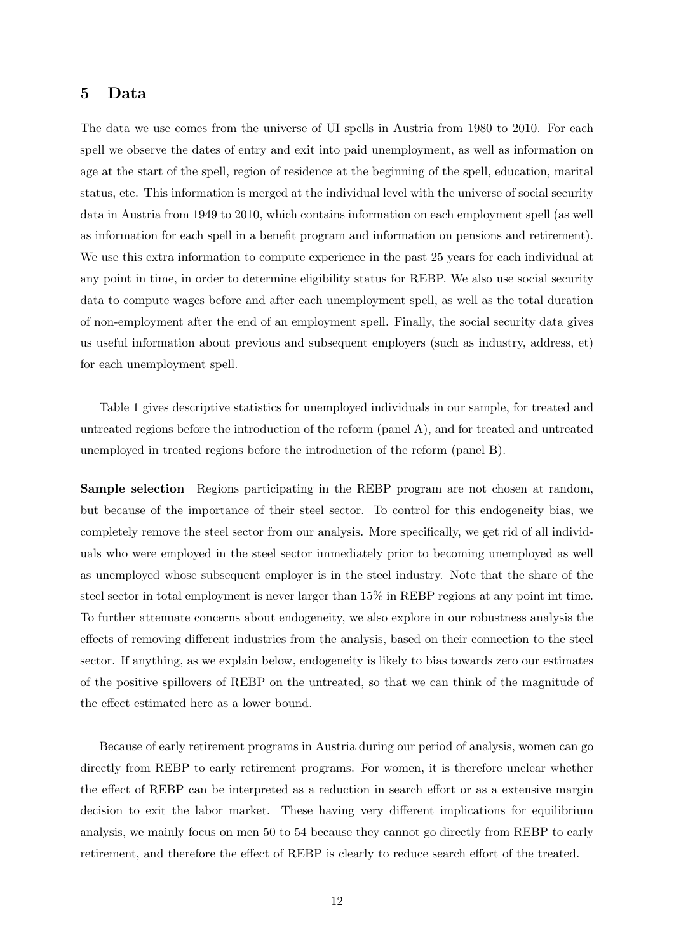#### 5 Data

The data we use comes from the universe of UI spells in Austria from 1980 to 2010. For each spell we observe the dates of entry and exit into paid unemployment, as well as information on age at the start of the spell, region of residence at the beginning of the spell, education, marital status, etc. This information is merged at the individual level with the universe of social security data in Austria from 1949 to 2010, which contains information on each employment spell (as well as information for each spell in a benefit program and information on pensions and retirement). We use this extra information to compute experience in the past 25 years for each individual at any point in time, in order to determine eligibility status for REBP. We also use social security data to compute wages before and after each unemployment spell, as well as the total duration of non-employment after the end of an employment spell. Finally, the social security data gives us useful information about previous and subsequent employers (such as industry, address, et) for each unemployment spell.

Table 1 gives descriptive statistics for unemployed individuals in our sample, for treated and untreated regions before the introduction of the reform (panel A), and for treated and untreated unemployed in treated regions before the introduction of the reform (panel B).

Sample selection Regions participating in the REBP program are not chosen at random, but because of the importance of their steel sector. To control for this endogeneity bias, we completely remove the steel sector from our analysis. More specifically, we get rid of all individuals who were employed in the steel sector immediately prior to becoming unemployed as well as unemployed whose subsequent employer is in the steel industry. Note that the share of the steel sector in total employment is never larger than 15% in REBP regions at any point int time. To further attenuate concerns about endogeneity, we also explore in our robustness analysis the effects of removing different industries from the analysis, based on their connection to the steel sector. If anything, as we explain below, endogeneity is likely to bias towards zero our estimates of the positive spillovers of REBP on the untreated, so that we can think of the magnitude of the effect estimated here as a lower bound.

Because of early retirement programs in Austria during our period of analysis, women can go directly from REBP to early retirement programs. For women, it is therefore unclear whether the effect of REBP can be interpreted as a reduction in search effort or as a extensive margin decision to exit the labor market. These having very different implications for equilibrium analysis, we mainly focus on men 50 to 54 because they cannot go directly from REBP to early retirement, and therefore the effect of REBP is clearly to reduce search effort of the treated.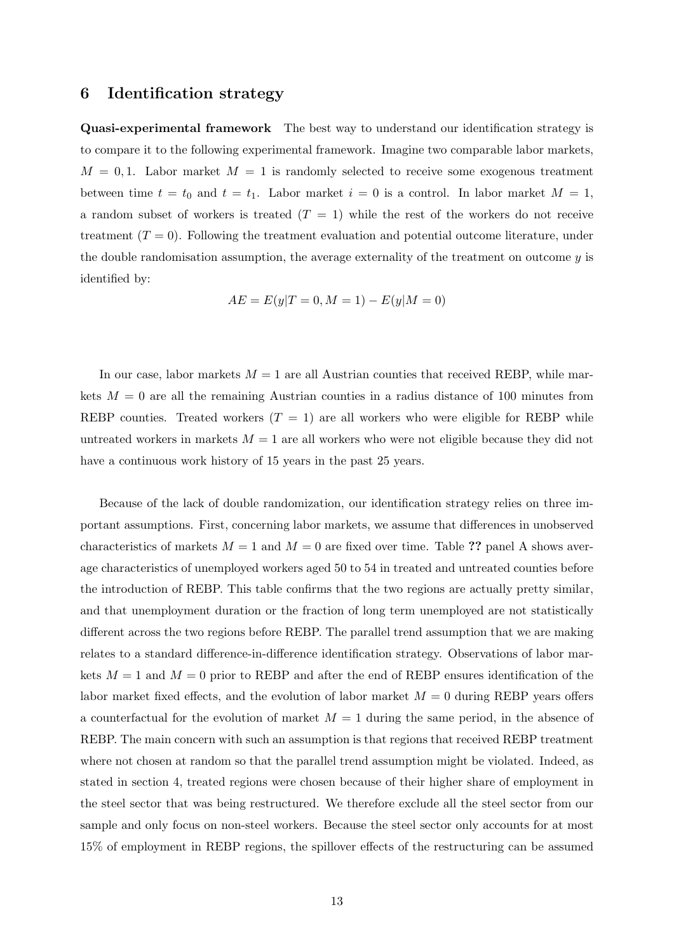#### 6 Identification strategy

Quasi-experimental framework The best way to understand our identification strategy is to compare it to the following experimental framework. Imagine two comparable labor markets,  $M = 0, 1$ . Labor market  $M = 1$  is randomly selected to receive some exogenous treatment between time  $t = t_0$  and  $t = t_1$ . Labor market  $i = 0$  is a control. In labor market  $M = 1$ , a random subset of workers is treated  $(T = 1)$  while the rest of the workers do not receive treatment  $(T = 0)$ . Following the treatment evaluation and potential outcome literature, under the double randomisation assumption, the average externality of the treatment on outcome  $y$  is identified by:

$$
AE = E(y|T = 0, M = 1) - E(y|M = 0)
$$

In our case, labor markets  $M = 1$  are all Austrian counties that received REBP, while markets  $M = 0$  are all the remaining Austrian counties in a radius distance of 100 minutes from REBP counties. Treated workers  $(T = 1)$  are all workers who were eligible for REBP while untreated workers in markets  $M = 1$  are all workers who were not eligible because they did not have a continuous work history of 15 years in the past 25 years.

Because of the lack of double randomization, our identification strategy relies on three important assumptions. First, concerning labor markets, we assume that differences in unobserved characteristics of markets  $M = 1$  and  $M = 0$  are fixed over time. Table ?? panel A shows average characteristics of unemployed workers aged 50 to 54 in treated and untreated counties before the introduction of REBP. This table confirms that the two regions are actually pretty similar, and that unemployment duration or the fraction of long term unemployed are not statistically different across the two regions before REBP. The parallel trend assumption that we are making relates to a standard difference-in-difference identification strategy. Observations of labor markets  $M = 1$  and  $M = 0$  prior to REBP and after the end of REBP ensures identification of the labor market fixed effects, and the evolution of labor market  $M = 0$  during REBP years offers a counterfactual for the evolution of market  $M = 1$  during the same period, in the absence of REBP. The main concern with such an assumption is that regions that received REBP treatment where not chosen at random so that the parallel trend assumption might be violated. Indeed, as stated in section 4, treated regions were chosen because of their higher share of employment in the steel sector that was being restructured. We therefore exclude all the steel sector from our sample and only focus on non-steel workers. Because the steel sector only accounts for at most 15% of employment in REBP regions, the spillover effects of the restructuring can be assumed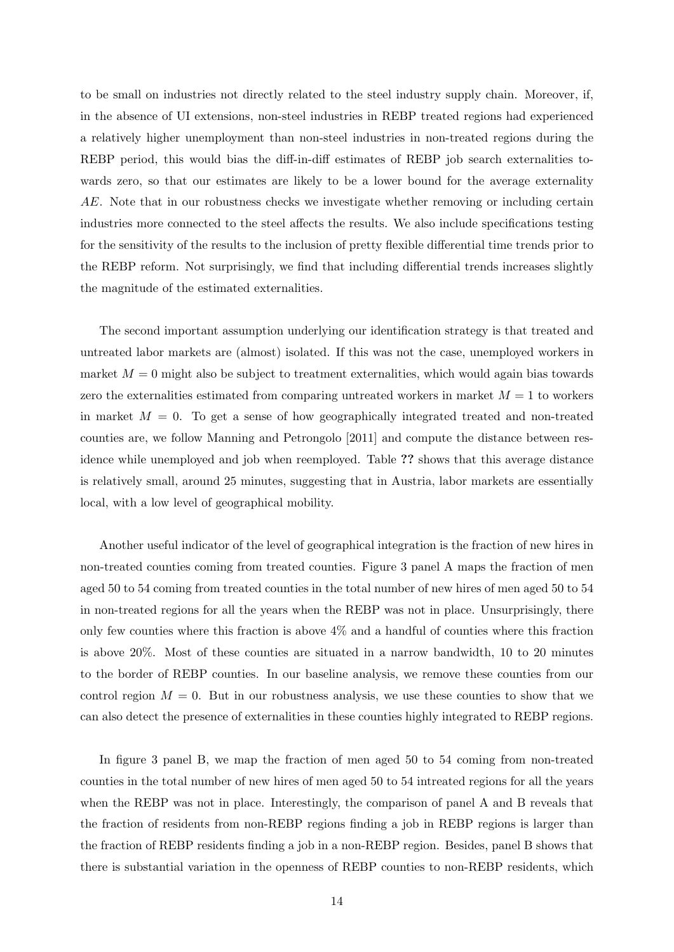to be small on industries not directly related to the steel industry supply chain. Moreover, if, in the absence of UI extensions, non-steel industries in REBP treated regions had experienced a relatively higher unemployment than non-steel industries in non-treated regions during the REBP period, this would bias the diff-in-diff estimates of REBP job search externalities towards zero, so that our estimates are likely to be a lower bound for the average externality AE. Note that in our robustness checks we investigate whether removing or including certain industries more connected to the steel affects the results. We also include specifications testing for the sensitivity of the results to the inclusion of pretty flexible differential time trends prior to the REBP reform. Not surprisingly, we find that including differential trends increases slightly the magnitude of the estimated externalities.

The second important assumption underlying our identification strategy is that treated and untreated labor markets are (almost) isolated. If this was not the case, unemployed workers in market  $M = 0$  might also be subject to treatment externalities, which would again bias towards zero the externalities estimated from comparing untreated workers in market  $M = 1$  to workers in market  $M = 0$ . To get a sense of how geographically integrated treated and non-treated counties are, we follow Manning and Petrongolo [2011] and compute the distance between residence while unemployed and job when reemployed. Table ?? shows that this average distance is relatively small, around 25 minutes, suggesting that in Austria, labor markets are essentially local, with a low level of geographical mobility.

Another useful indicator of the level of geographical integration is the fraction of new hires in non-treated counties coming from treated counties. Figure 3 panel A maps the fraction of men aged 50 to 54 coming from treated counties in the total number of new hires of men aged 50 to 54 in non-treated regions for all the years when the REBP was not in place. Unsurprisingly, there only few counties where this fraction is above 4% and a handful of counties where this fraction is above 20%. Most of these counties are situated in a narrow bandwidth, 10 to 20 minutes to the border of REBP counties. In our baseline analysis, we remove these counties from our control region  $M = 0$ . But in our robustness analysis, we use these counties to show that we can also detect the presence of externalities in these counties highly integrated to REBP regions.

In figure 3 panel B, we map the fraction of men aged 50 to 54 coming from non-treated counties in the total number of new hires of men aged 50 to 54 intreated regions for all the years when the REBP was not in place. Interestingly, the comparison of panel A and B reveals that the fraction of residents from non-REBP regions finding a job in REBP regions is larger than the fraction of REBP residents finding a job in a non-REBP region. Besides, panel B shows that there is substantial variation in the openness of REBP counties to non-REBP residents, which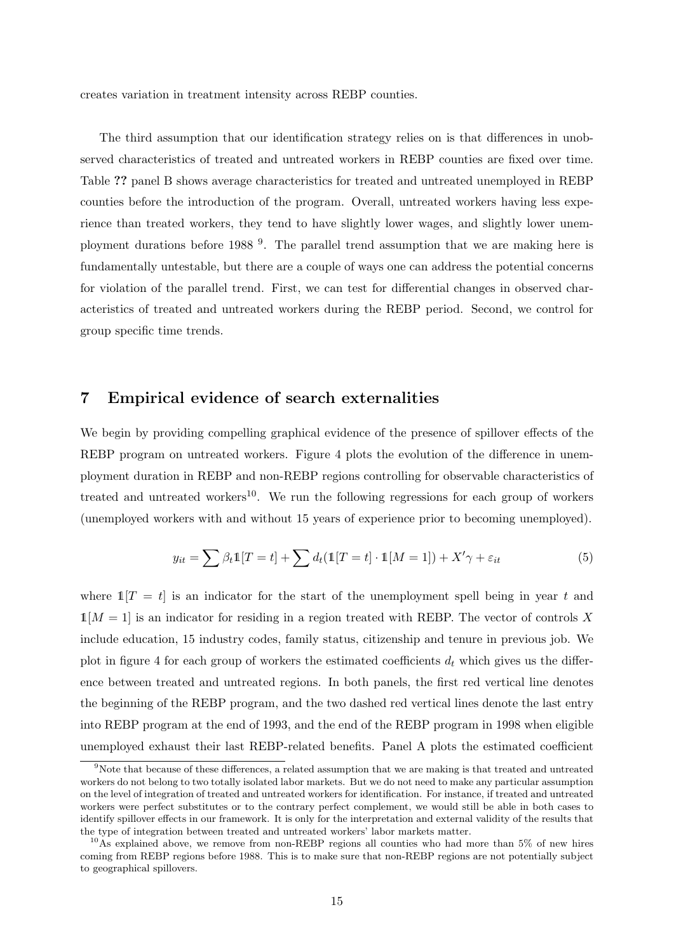creates variation in treatment intensity across REBP counties.

The third assumption that our identification strategy relies on is that differences in unobserved characteristics of treated and untreated workers in REBP counties are fixed over time. Table ?? panel B shows average characteristics for treated and untreated unemployed in REBP counties before the introduction of the program. Overall, untreated workers having less experience than treated workers, they tend to have slightly lower wages, and slightly lower unemployment durations before 1988<sup>9</sup>. The parallel trend assumption that we are making here is fundamentally untestable, but there are a couple of ways one can address the potential concerns for violation of the parallel trend. First, we can test for differential changes in observed characteristics of treated and untreated workers during the REBP period. Second, we control for group specific time trends.

#### 7 Empirical evidence of search externalities

We begin by providing compelling graphical evidence of the presence of spillover effects of the REBP program on untreated workers. Figure 4 plots the evolution of the difference in unemployment duration in REBP and non-REBP regions controlling for observable characteristics of treated and untreated workers<sup>10</sup>. We run the following regressions for each group of workers (unemployed workers with and without 15 years of experience prior to becoming unemployed).

$$
y_{it} = \sum \beta_t \mathbb{1}[T=t] + \sum d_t(\mathbb{1}[T=t] \cdot \mathbb{1}[M=1]) + X'\gamma + \varepsilon_{it}
$$
\n(5)

where  $\mathbb{1}[T = t]$  is an indicator for the start of the unemployment spell being in year t and  $1[M = 1]$  is an indicator for residing in a region treated with REBP. The vector of controls X include education, 15 industry codes, family status, citizenship and tenure in previous job. We plot in figure 4 for each group of workers the estimated coefficients  $d_t$  which gives us the difference between treated and untreated regions. In both panels, the first red vertical line denotes the beginning of the REBP program, and the two dashed red vertical lines denote the last entry into REBP program at the end of 1993, and the end of the REBP program in 1998 when eligible unemployed exhaust their last REBP-related benefits. Panel A plots the estimated coefficient

 $9\%$ Note that because of these differences, a related assumption that we are making is that treated and untreated workers do not belong to two totally isolated labor markets. But we do not need to make any particular assumption on the level of integration of treated and untreated workers for identification. For instance, if treated and untreated workers were perfect substitutes or to the contrary perfect complement, we would still be able in both cases to identify spillover effects in our framework. It is only for the interpretation and external validity of the results that the type of integration between treated and untreated workers' labor markets matter.

<sup>&</sup>lt;sup>10</sup>As explained above, we remove from non-REBP regions all counties who had more than 5% of new hires coming from REBP regions before 1988. This is to make sure that non-REBP regions are not potentially subject to geographical spillovers.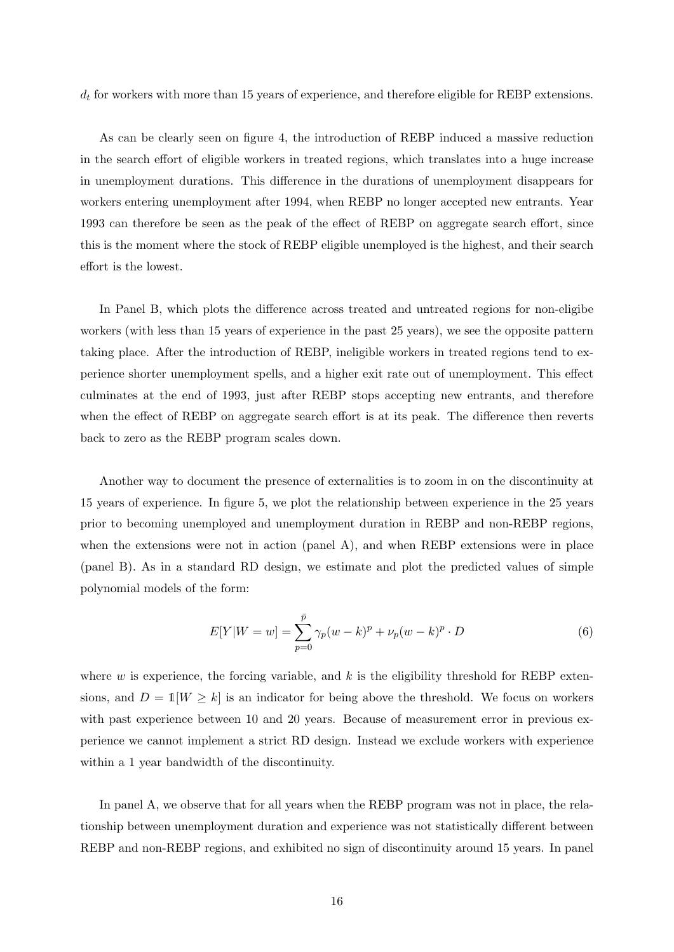$d_t$  for workers with more than 15 years of experience, and therefore eligible for REBP extensions.

As can be clearly seen on figure 4, the introduction of REBP induced a massive reduction in the search effort of eligible workers in treated regions, which translates into a huge increase in unemployment durations. This difference in the durations of unemployment disappears for workers entering unemployment after 1994, when REBP no longer accepted new entrants. Year 1993 can therefore be seen as the peak of the effect of REBP on aggregate search effort, since this is the moment where the stock of REBP eligible unemployed is the highest, and their search effort is the lowest.

In Panel B, which plots the difference across treated and untreated regions for non-eligibe workers (with less than 15 years of experience in the past 25 years), we see the opposite pattern taking place. After the introduction of REBP, ineligible workers in treated regions tend to experience shorter unemployment spells, and a higher exit rate out of unemployment. This effect culminates at the end of 1993, just after REBP stops accepting new entrants, and therefore when the effect of REBP on aggregate search effort is at its peak. The difference then reverts back to zero as the REBP program scales down.

Another way to document the presence of externalities is to zoom in on the discontinuity at 15 years of experience. In figure 5, we plot the relationship between experience in the 25 years prior to becoming unemployed and unemployment duration in REBP and non-REBP regions, when the extensions were not in action (panel A), and when REBP extensions were in place (panel B). As in a standard RD design, we estimate and plot the predicted values of simple polynomial models of the form:

$$
E[Y|W=w] = \sum_{p=0}^{\bar{p}} \gamma_p(w-k)^p + \nu_p(w-k)^p \cdot D
$$
 (6)

where  $w$  is experience, the forcing variable, and  $k$  is the eligibility threshold for REBP extensions, and  $D = 1[W \geq k]$  is an indicator for being above the threshold. We focus on workers with past experience between 10 and 20 years. Because of measurement error in previous experience we cannot implement a strict RD design. Instead we exclude workers with experience within a 1 year bandwidth of the discontinuity.

In panel A, we observe that for all years when the REBP program was not in place, the relationship between unemployment duration and experience was not statistically different between REBP and non-REBP regions, and exhibited no sign of discontinuity around 15 years. In panel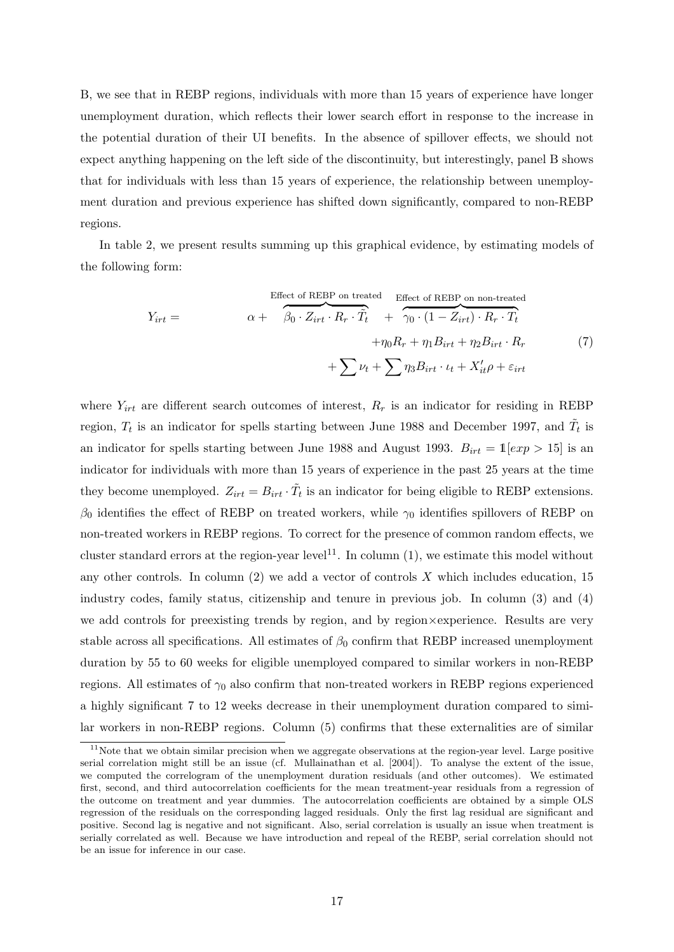B, we see that in REBP regions, individuals with more than 15 years of experience have longer unemployment duration, which reflects their lower search effort in response to the increase in the potential duration of their UI benefits. In the absence of spillover effects, we should not expect anything happening on the left side of the discontinuity, but interestingly, panel B shows that for individuals with less than 15 years of experience, the relationship between unemployment duration and previous experience has shifted down significantly, compared to non-REBP regions.

In table 2, we present results summing up this graphical evidence, by estimating models of the following form:

$$
Y_{irt} = \alpha + \frac{\beta_0 \cdot Z_{irt} \cdot R_r \cdot \tilde{T}_t}{\beta_0 \cdot Z_{irt} \cdot R_r \cdot \tilde{T}_t} + \frac{\gamma_0 \cdot (1 - Z_{irt}) \cdot R_r \cdot T_t}{\gamma_0 \cdot (1 - Z_{irt}) \cdot R_r \cdot T_t} + \sum_{t \neq 0} \nu_t + \sum_{t \geq 0} \eta_3 B_{irt} \cdot \nu_t + X_{it}' \rho + \varepsilon_{irt}
$$
(7)

where  $Y_{irt}$  are different search outcomes of interest,  $R_r$  is an indicator for residing in REBP region,  $T_t$  is an indicator for spells starting between June 1988 and December 1997, and  $\tilde{T}_t$  is an indicator for spells starting between June 1988 and August 1993.  $B_{irt} = 1[\exp > 15]$  is an indicator for individuals with more than 15 years of experience in the past 25 years at the time they become unemployed.  $Z_{irt} = B_{irt} \cdot \tilde{T}_t$  is an indicator for being eligible to REBP extensions.  $β$ <sub>0</sub> identifies the effect of REBP on treated workers, while  $γ$ <sub>0</sub> identifies spillovers of REBP on non-treated workers in REBP regions. To correct for the presence of common random effects, we cluster standard errors at the region-year level<sup>11</sup>. In column  $(1)$ , we estimate this model without any other controls. In column  $(2)$  we add a vector of controls X which includes education, 15 industry codes, family status, citizenship and tenure in previous job. In column (3) and (4) we add controls for preexisting trends by region, and by region×experience. Results are very stable across all specifications. All estimates of  $\beta_0$  confirm that REBP increased unemployment duration by 55 to 60 weeks for eligible unemployed compared to similar workers in non-REBP regions. All estimates of  $\gamma_0$  also confirm that non-treated workers in REBP regions experienced a highly significant 7 to 12 weeks decrease in their unemployment duration compared to similar workers in non-REBP regions. Column (5) confirms that these externalities are of similar

<sup>&</sup>lt;sup>11</sup>Note that we obtain similar precision when we aggregate observations at the region-year level. Large positive serial correlation might still be an issue (cf. Mullainathan et al. [2004]). To analyse the extent of the issue, we computed the correlogram of the unemployment duration residuals (and other outcomes). We estimated first, second, and third autocorrelation coefficients for the mean treatment-year residuals from a regression of the outcome on treatment and year dummies. The autocorrelation coefficients are obtained by a simple OLS regression of the residuals on the corresponding lagged residuals. Only the first lag residual are significant and positive. Second lag is negative and not significant. Also, serial correlation is usually an issue when treatment is serially correlated as well. Because we have introduction and repeal of the REBP, serial correlation should not be an issue for inference in our case.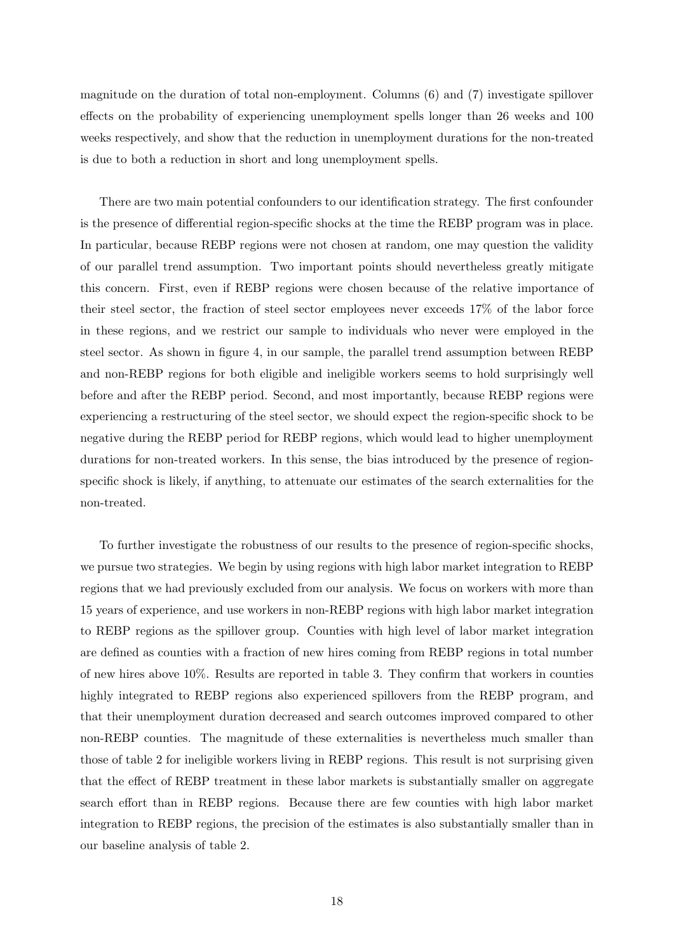magnitude on the duration of total non-employment. Columns (6) and (7) investigate spillover effects on the probability of experiencing unemployment spells longer than 26 weeks and 100 weeks respectively, and show that the reduction in unemployment durations for the non-treated is due to both a reduction in short and long unemployment spells.

There are two main potential confounders to our identification strategy. The first confounder is the presence of differential region-specific shocks at the time the REBP program was in place. In particular, because REBP regions were not chosen at random, one may question the validity of our parallel trend assumption. Two important points should nevertheless greatly mitigate this concern. First, even if REBP regions were chosen because of the relative importance of their steel sector, the fraction of steel sector employees never exceeds 17% of the labor force in these regions, and we restrict our sample to individuals who never were employed in the steel sector. As shown in figure 4, in our sample, the parallel trend assumption between REBP and non-REBP regions for both eligible and ineligible workers seems to hold surprisingly well before and after the REBP period. Second, and most importantly, because REBP regions were experiencing a restructuring of the steel sector, we should expect the region-specific shock to be negative during the REBP period for REBP regions, which would lead to higher unemployment durations for non-treated workers. In this sense, the bias introduced by the presence of regionspecific shock is likely, if anything, to attenuate our estimates of the search externalities for the non-treated.

To further investigate the robustness of our results to the presence of region-specific shocks, we pursue two strategies. We begin by using regions with high labor market integration to REBP regions that we had previously excluded from our analysis. We focus on workers with more than 15 years of experience, and use workers in non-REBP regions with high labor market integration to REBP regions as the spillover group. Counties with high level of labor market integration are defined as counties with a fraction of new hires coming from REBP regions in total number of new hires above 10%. Results are reported in table 3. They confirm that workers in counties highly integrated to REBP regions also experienced spillovers from the REBP program, and that their unemployment duration decreased and search outcomes improved compared to other non-REBP counties. The magnitude of these externalities is nevertheless much smaller than those of table 2 for ineligible workers living in REBP regions. This result is not surprising given that the effect of REBP treatment in these labor markets is substantially smaller on aggregate search effort than in REBP regions. Because there are few counties with high labor market integration to REBP regions, the precision of the estimates is also substantially smaller than in our baseline analysis of table 2.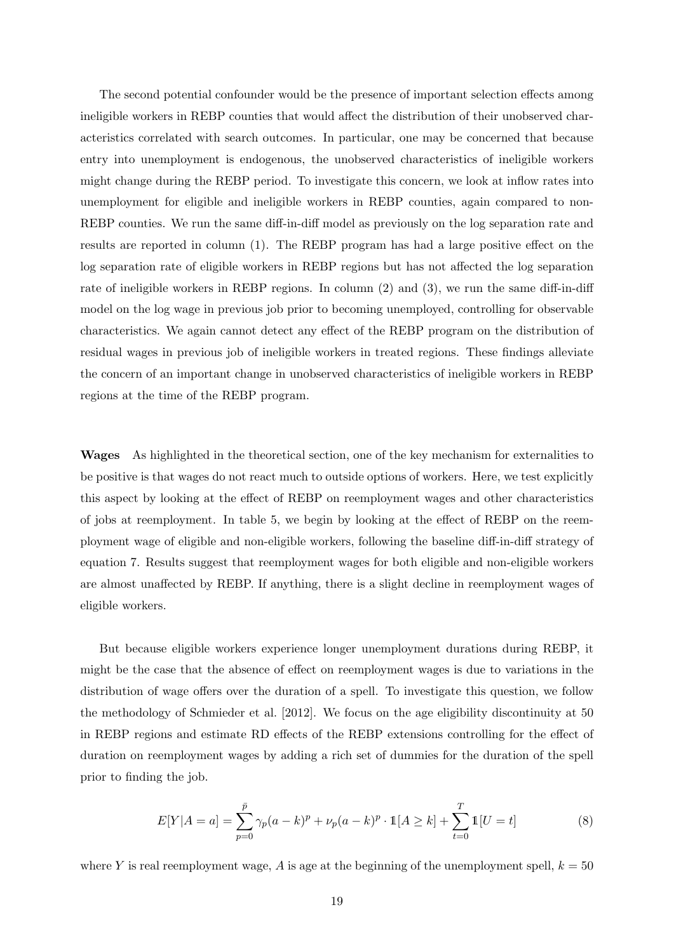The second potential confounder would be the presence of important selection effects among ineligible workers in REBP counties that would affect the distribution of their unobserved characteristics correlated with search outcomes. In particular, one may be concerned that because entry into unemployment is endogenous, the unobserved characteristics of ineligible workers might change during the REBP period. To investigate this concern, we look at inflow rates into unemployment for eligible and ineligible workers in REBP counties, again compared to non-REBP counties. We run the same diff-in-diff model as previously on the log separation rate and results are reported in column (1). The REBP program has had a large positive effect on the log separation rate of eligible workers in REBP regions but has not affected the log separation rate of ineligible workers in REBP regions. In column (2) and (3), we run the same diff-in-diff model on the log wage in previous job prior to becoming unemployed, controlling for observable characteristics. We again cannot detect any effect of the REBP program on the distribution of residual wages in previous job of ineligible workers in treated regions. These findings alleviate the concern of an important change in unobserved characteristics of ineligible workers in REBP regions at the time of the REBP program.

Wages As highlighted in the theoretical section, one of the key mechanism for externalities to be positive is that wages do not react much to outside options of workers. Here, we test explicitly this aspect by looking at the effect of REBP on reemployment wages and other characteristics of jobs at reemployment. In table 5, we begin by looking at the effect of REBP on the reemployment wage of eligible and non-eligible workers, following the baseline diff-in-diff strategy of equation 7. Results suggest that reemployment wages for both eligible and non-eligible workers are almost unaffected by REBP. If anything, there is a slight decline in reemployment wages of eligible workers.

But because eligible workers experience longer unemployment durations during REBP, it might be the case that the absence of effect on reemployment wages is due to variations in the distribution of wage offers over the duration of a spell. To investigate this question, we follow the methodology of Schmieder et al. [2012]. We focus on the age eligibility discontinuity at 50 in REBP regions and estimate RD effects of the REBP extensions controlling for the effect of duration on reemployment wages by adding a rich set of dummies for the duration of the spell prior to finding the job.

$$
E[Y|A = a] = \sum_{p=0}^{\bar{p}} \gamma_p (a - k)^p + \nu_p (a - k)^p \cdot \mathbb{1}[A \ge k] + \sum_{t=0}^{T} \mathbb{1}[U = t]
$$
 (8)

where Y is real reemployment wage, A is age at the beginning of the unemployment spell,  $k = 50$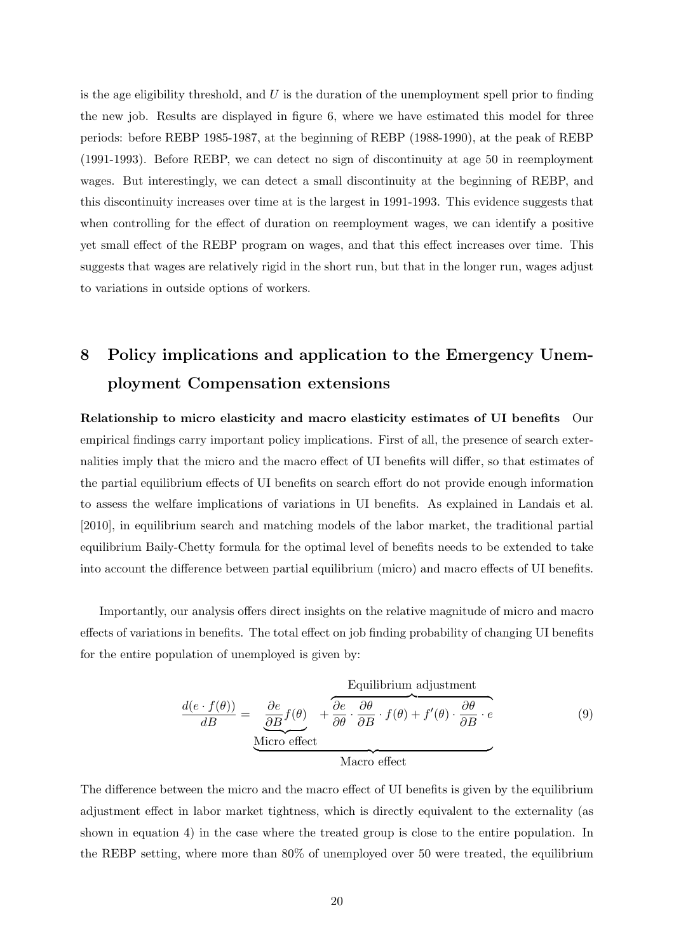is the age eligibility threshold, and  $U$  is the duration of the unemployment spell prior to finding the new job. Results are displayed in figure 6, where we have estimated this model for three periods: before REBP 1985-1987, at the beginning of REBP (1988-1990), at the peak of REBP (1991-1993). Before REBP, we can detect no sign of discontinuity at age 50 in reemployment wages. But interestingly, we can detect a small discontinuity at the beginning of REBP, and this discontinuity increases over time at is the largest in 1991-1993. This evidence suggests that when controlling for the effect of duration on reemployment wages, we can identify a positive yet small effect of the REBP program on wages, and that this effect increases over time. This suggests that wages are relatively rigid in the short run, but that in the longer run, wages adjust to variations in outside options of workers.

## 8 Policy implications and application to the Emergency Unemployment Compensation extensions

Relationship to micro elasticity and macro elasticity estimates of UI benefits Our empirical findings carry important policy implications. First of all, the presence of search externalities imply that the micro and the macro effect of UI benefits will differ, so that estimates of the partial equilibrium effects of UI benefits on search effort do not provide enough information to assess the welfare implications of variations in UI benefits. As explained in Landais et al. [2010], in equilibrium search and matching models of the labor market, the traditional partial equilibrium Baily-Chetty formula for the optimal level of benefits needs to be extended to take into account the difference between partial equilibrium (micro) and macro effects of UI benefits.

Importantly, our analysis offers direct insights on the relative magnitude of micro and macro effects of variations in benefits. The total effect on job finding probability of changing UI benefits for the entire population of unemployed is given by:

$$
\frac{d(e \cdot f(\theta))}{dB} = \underbrace{\frac{\partial e}{\partial B} f(\theta)}_{\text{Micro effect}} + \underbrace{\frac{\partial e}{\partial \theta} \cdot \frac{\partial \theta}{\partial B} \cdot f(\theta) + f'(\theta) \cdot \frac{\partial \theta}{\partial B} \cdot e}_{\text{Micro effect}}
$$
(9)

The difference between the micro and the macro effect of UI benefits is given by the equilibrium adjustment effect in labor market tightness, which is directly equivalent to the externality (as shown in equation 4) in the case where the treated group is close to the entire population. In the REBP setting, where more than 80% of unemployed over 50 were treated, the equilibrium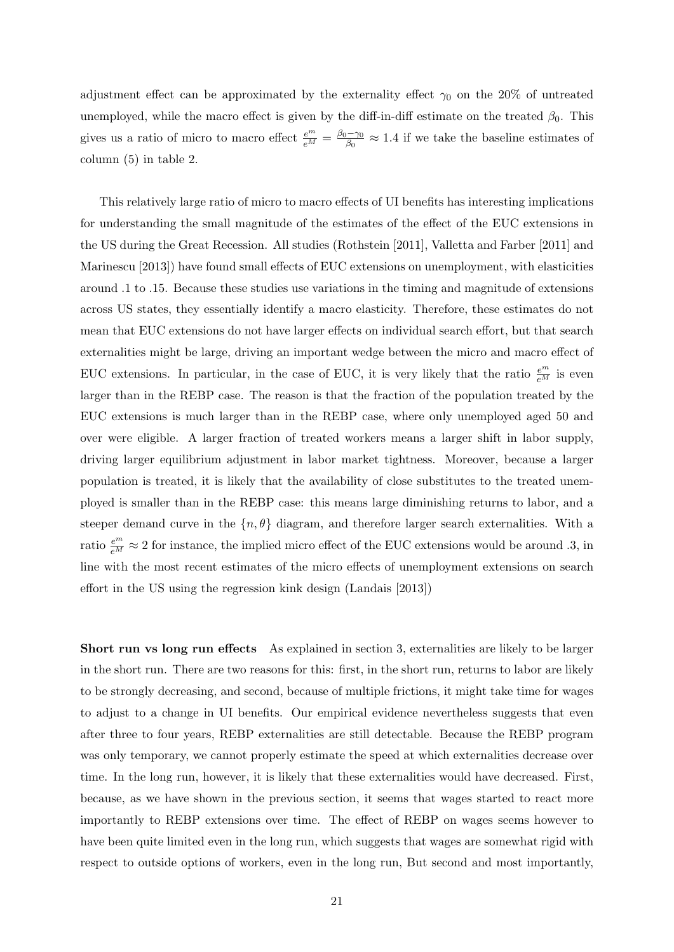adjustment effect can be approximated by the externality effect  $\gamma_0$  on the 20% of untreated unemployed, while the macro effect is given by the diff-in-diff estimate on the treated  $\beta_0$ . This gives us a ratio of micro to macro effect  $\frac{e^m}{e^M} = \frac{\beta_0 - \gamma_0}{\beta_0}$  $\frac{60-70}{\beta_0} \approx 1.4$  if we take the baseline estimates of column (5) in table 2.

This relatively large ratio of micro to macro effects of UI benefits has interesting implications for understanding the small magnitude of the estimates of the effect of the EUC extensions in the US during the Great Recession. All studies (Rothstein [2011], Valletta and Farber [2011] and Marinescu [2013]) have found small effects of EUC extensions on unemployment, with elasticities around .1 to .15. Because these studies use variations in the timing and magnitude of extensions across US states, they essentially identify a macro elasticity. Therefore, these estimates do not mean that EUC extensions do not have larger effects on individual search effort, but that search externalities might be large, driving an important wedge between the micro and macro effect of EUC extensions. In particular, in the case of EUC, it is very likely that the ratio  $\frac{e^m}{e^M}$  is even larger than in the REBP case. The reason is that the fraction of the population treated by the EUC extensions is much larger than in the REBP case, where only unemployed aged 50 and over were eligible. A larger fraction of treated workers means a larger shift in labor supply, driving larger equilibrium adjustment in labor market tightness. Moreover, because a larger population is treated, it is likely that the availability of close substitutes to the treated unemployed is smaller than in the REBP case: this means large diminishing returns to labor, and a steeper demand curve in the  $\{n, \theta\}$  diagram, and therefore larger search externalities. With a ratio  $\frac{e^m}{e^M} \approx 2$  for instance, the implied micro effect of the EUC extensions would be around .3, in line with the most recent estimates of the micro effects of unemployment extensions on search effort in the US using the regression kink design (Landais [2013])

Short run vs long run effects As explained in section 3, externalities are likely to be larger in the short run. There are two reasons for this: first, in the short run, returns to labor are likely to be strongly decreasing, and second, because of multiple frictions, it might take time for wages to adjust to a change in UI benefits. Our empirical evidence nevertheless suggests that even after three to four years, REBP externalities are still detectable. Because the REBP program was only temporary, we cannot properly estimate the speed at which externalities decrease over time. In the long run, however, it is likely that these externalities would have decreased. First, because, as we have shown in the previous section, it seems that wages started to react more importantly to REBP extensions over time. The effect of REBP on wages seems however to have been quite limited even in the long run, which suggests that wages are somewhat rigid with respect to outside options of workers, even in the long run, But second and most importantly,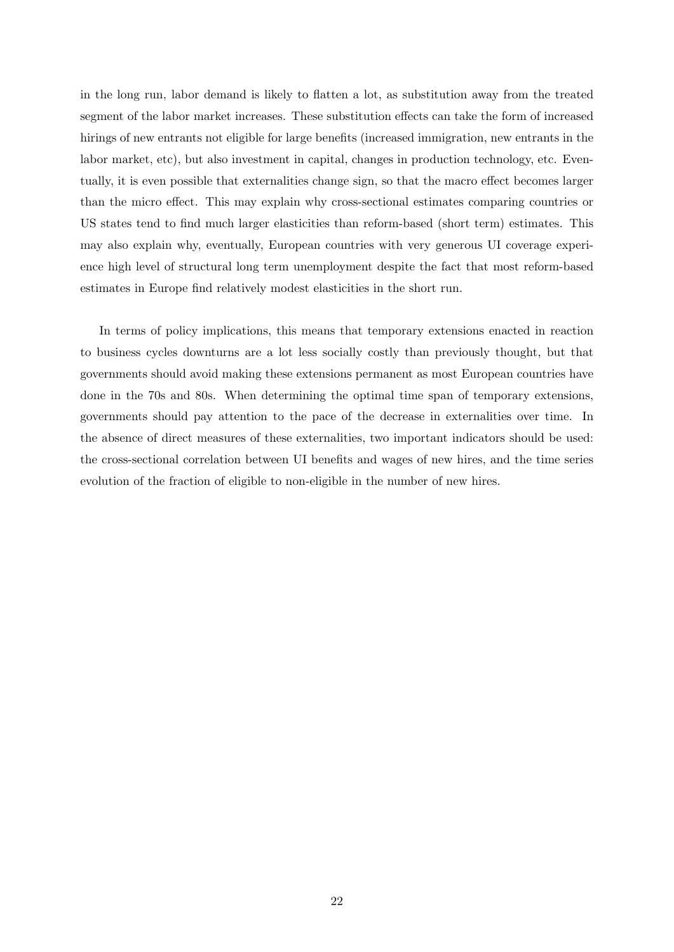in the long run, labor demand is likely to flatten a lot, as substitution away from the treated segment of the labor market increases. These substitution effects can take the form of increased hirings of new entrants not eligible for large benefits (increased immigration, new entrants in the labor market, etc), but also investment in capital, changes in production technology, etc. Eventually, it is even possible that externalities change sign, so that the macro effect becomes larger than the micro effect. This may explain why cross-sectional estimates comparing countries or US states tend to find much larger elasticities than reform-based (short term) estimates. This may also explain why, eventually, European countries with very generous UI coverage experience high level of structural long term unemployment despite the fact that most reform-based estimates in Europe find relatively modest elasticities in the short run.

In terms of policy implications, this means that temporary extensions enacted in reaction to business cycles downturns are a lot less socially costly than previously thought, but that governments should avoid making these extensions permanent as most European countries have done in the 70s and 80s. When determining the optimal time span of temporary extensions, governments should pay attention to the pace of the decrease in externalities over time. In the absence of direct measures of these externalities, two important indicators should be used: the cross-sectional correlation between UI benefits and wages of new hires, and the time series evolution of the fraction of eligible to non-eligible in the number of new hires.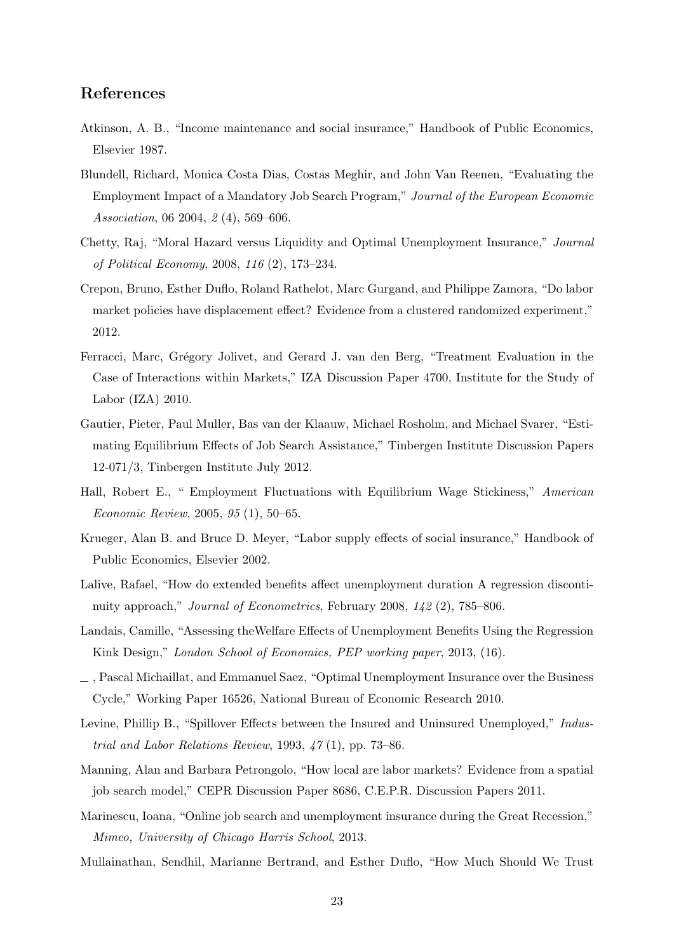#### References

- Atkinson, A. B., "Income maintenance and social insurance," Handbook of Public Economics, Elsevier 1987.
- Blundell, Richard, Monica Costa Dias, Costas Meghir, and John Van Reenen, "Evaluating the Employment Impact of a Mandatory Job Search Program," Journal of the European Economic Association, 06 2004, 2 (4), 569–606.
- Chetty, Raj, "Moral Hazard versus Liquidity and Optimal Unemployment Insurance," Journal of Political Economy, 2008, 116 (2), 173–234.
- Crepon, Bruno, Esther Duflo, Roland Rathelot, Marc Gurgand, and Philippe Zamora, "Do labor market policies have displacement effect? Evidence from a clustered randomized experiment," 2012.
- Ferracci, Marc, Grégory Jolivet, and Gerard J. van den Berg, "Treatment Evaluation in the Case of Interactions within Markets," IZA Discussion Paper 4700, Institute for the Study of Labor (IZA) 2010.
- Gautier, Pieter, Paul Muller, Bas van der Klaauw, Michael Rosholm, and Michael Svarer, "Estimating Equilibrium Effects of Job Search Assistance," Tinbergen Institute Discussion Papers 12-071/3, Tinbergen Institute July 2012.
- Hall, Robert E., " Employment Fluctuations with Equilibrium Wage Stickiness," American Economic Review, 2005, 95 (1), 50–65.
- Krueger, Alan B. and Bruce D. Meyer, "Labor supply effects of social insurance," Handbook of Public Economics, Elsevier 2002.
- Lalive, Rafael, "How do extended benefits affect unemployment duration A regression discontinuity approach," Journal of Econometrics, February 2008, 142 (2), 785–806.
- Landais, Camille, "Assessing theWelfare Effects of Unemployment Benefits Using the Regression Kink Design," London School of Economics, PEP working paper, 2013, (16).
- , Pascal Michaillat, and Emmanuel Saez, "Optimal Unemployment Insurance over the Business Cycle," Working Paper 16526, National Bureau of Economic Research 2010.
- Levine, Phillip B., "Spillover Effects between the Insured and Uninsured Unemployed," Industrial and Labor Relations Review, 1993,  $47(1)$ , pp. 73–86.
- Manning, Alan and Barbara Petrongolo, "How local are labor markets? Evidence from a spatial job search model," CEPR Discussion Paper 8686, C.E.P.R. Discussion Papers 2011.
- Marinescu, Ioana, "Online job search and unemployment insurance during the Great Recession," Mimeo, University of Chicago Harris School, 2013.
- Mullainathan, Sendhil, Marianne Bertrand, and Esther Duflo, "How Much Should We Trust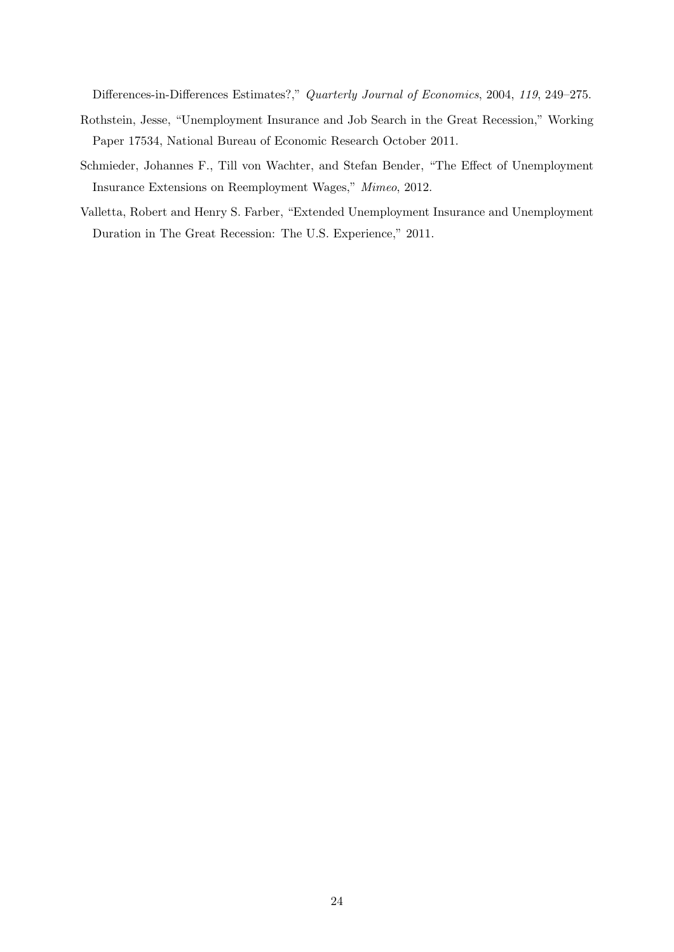Differences-in-Differences Estimates?," Quarterly Journal of Economics, 2004, 119, 249–275.

- Rothstein, Jesse, "Unemployment Insurance and Job Search in the Great Recession," Working Paper 17534, National Bureau of Economic Research October 2011.
- Schmieder, Johannes F., Till von Wachter, and Stefan Bender, "The Effect of Unemployment Insurance Extensions on Reemployment Wages," Mimeo, 2012.
- Valletta, Robert and Henry S. Farber, "Extended Unemployment Insurance and Unemployment Duration in The Great Recession: The U.S. Experience," 2011.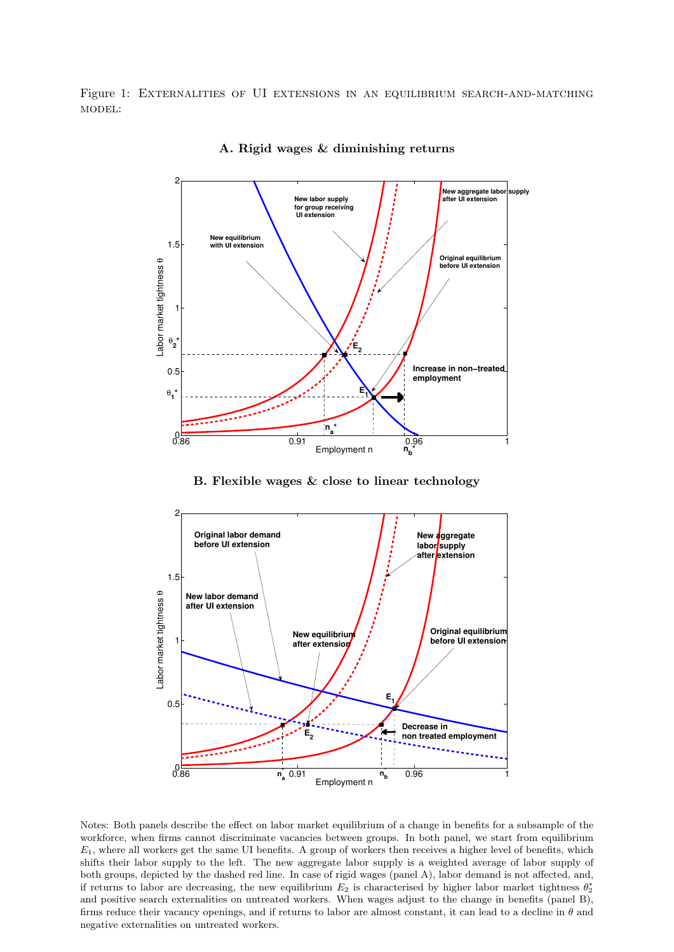Figure 1: EXTERNALITIES OF UI EXTENSIONS IN AN EQUILIBRIUM SEARCH-AND-MATCHING model:



A. Rigid wages & diminishing returns

B. Flexible wages & close to linear technology



Notes: Both panels describe the effect on labor market equilibrium of a change in benefits for a subsample of the workforce, when firms cannot discriminate vacancies between groups. In both panel, we start from equilibrium  $E_1$ , where all workers get the same UI benefits. A group of workers then receives a higher level of benefits, which shifts their labor supply to the left. The new aggregate labor supply is a weighted average of labor supply of both groups, depicted by the dashed red line. In case of rigid wages (panel A), labor demand is not affected, and, if returns to labor are decreasing, the new equilibrium  $E_2$  is characterised by higher labor market tightness  $\theta_2^*$ and positive search externalities on untreated workers. When wages adjust to the change in benefits (panel B), firms reduce their vacancy openings, and if returns to labor are almost constant, it can lead to a decline in  $\theta$  and negative externalities on untreated workers.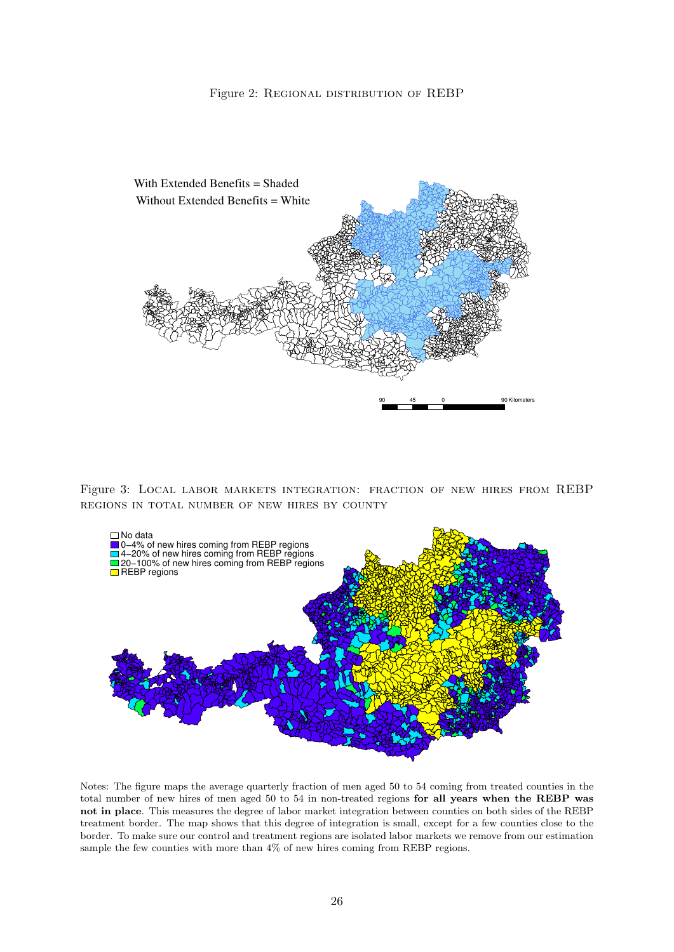

Figure 3: Local labor markets integration: fraction of new hires from REBP regions in total number of new hires by county



Notes: The figure maps the average quarterly fraction of men aged 50 to 54 coming from treated counties in the total number of new hires of men aged 50 to 54 in non-treated regions for all years when the REBP was not in place. This measures the degree of labor market integration between counties on both sides of the REBP treatment border. The map shows that this degree of integration is small, except for a few counties close to the border. To make sure our control and treatment regions are isolated labor markets we remove from our estimation sample the few counties with more than 4% of new hires coming from REBP regions.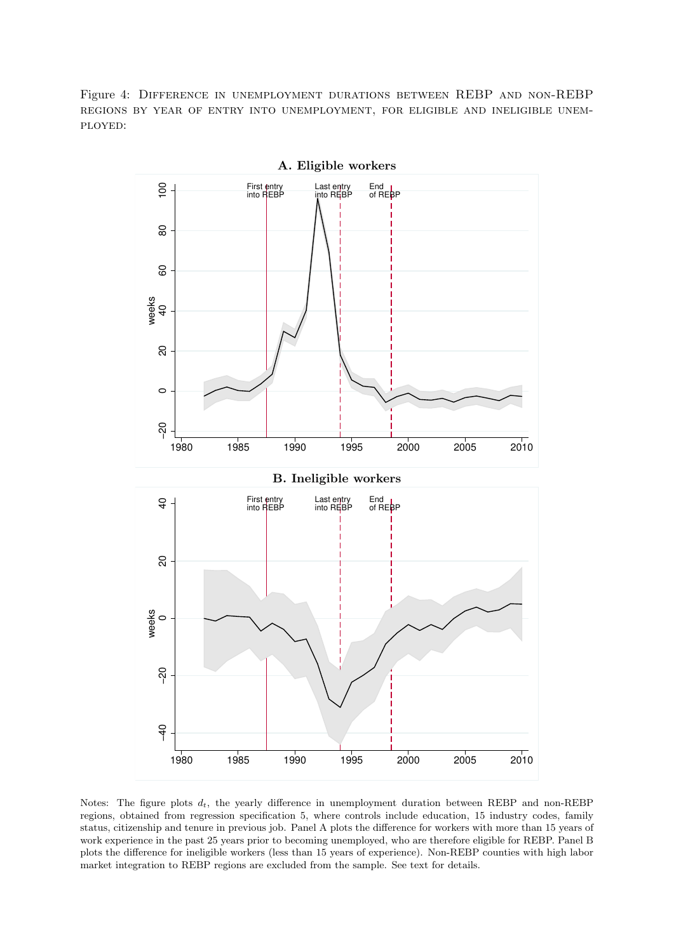Figure 4: Difference in unemployment durations between REBP and non-REBP regions by year of entry into unemployment, for eligible and ineligible unemployed:



Notes: The figure plots  $d_t$ , the yearly difference in unemployment duration between REBP and non-REBP regions, obtained from regression specification 5, where controls include education, 15 industry codes, family status, citizenship and tenure in previous job. Panel A plots the difference for workers with more than 15 years of work experience in the past 25 years prior to becoming unemployed, who are therefore eligible for REBP. Panel B plots the difference for ineligible workers (less than 15 years of experience). Non-REBP counties with high labor market integration to REBP regions are excluded from the sample. See text for details.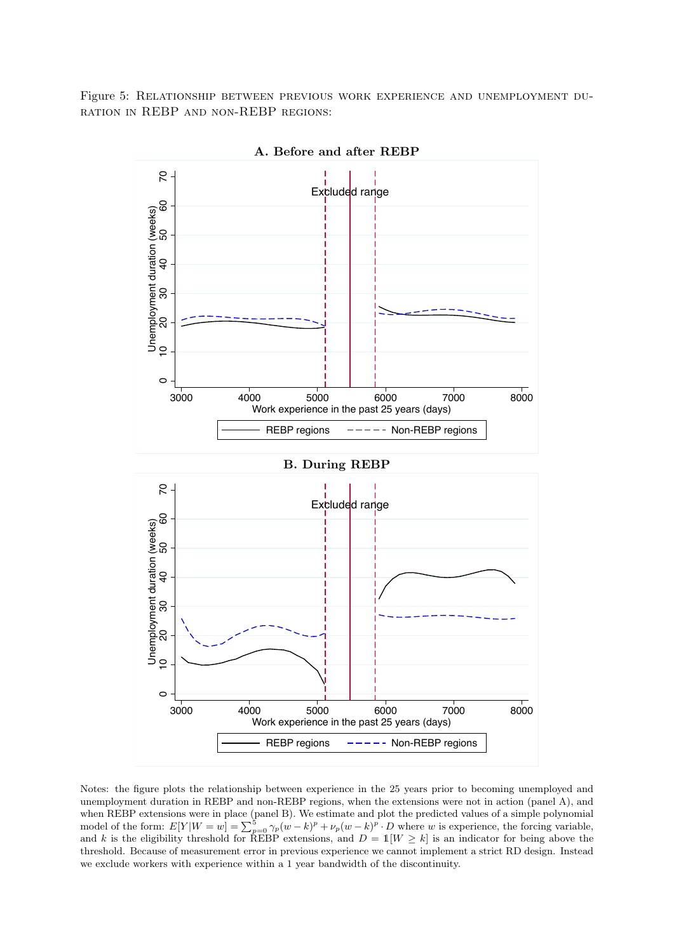Figure 5: Relationship between previous work experience and unemployment duration in REBP and non-REBP regions:



A. Before and after REBP

Notes: the figure plots the relationship between experience in the 25 years prior to becoming unemployed and unemployment duration in REBP and non-REBP regions, when the extensions were not in action (panel A), and when REBP extensions were in place (panel B). We estimate and plot the predicted values of a simple polynomial model of the form:  $E[Y|W=w] = \sum_{p=0}^{5} \gamma_p (w-k)^p + \nu_p (w-k)^p \cdot D$  where w is experience, the forcing variable, and k is the eligibility threshold for REBP extensions, and  $D = 1|W \ge k|$  is an indicator for being above the threshold. Because of measurement error in previous experience we cannot implement a strict RD design. Instead we exclude workers with experience within a 1 year bandwidth of the discontinuity.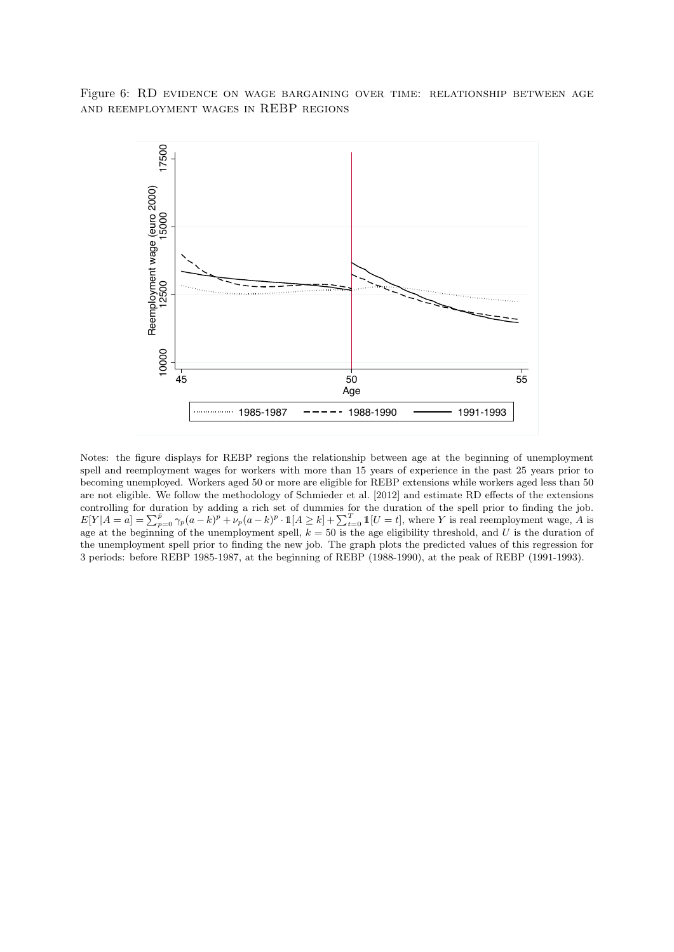Figure 6: RD evidence on wage bargaining over time: relationship between age and reemployment wages in REBP regions



Notes: the figure displays for REBP regions the relationship between age at the beginning of unemployment spell and reemployment wages for workers with more than 15 years of experience in the past 25 years prior to becoming unemployed. Workers aged 50 or more are eligible for REBP extensions while workers aged less than 50 are not eligible. We follow the methodology of Schmieder et al. [2012] and estimate RD effects of the extensions controlling for duration by adding a rich set of dummies for the duration of the spell prior to finding the job.  $E[Y|A=a] = \sum_{p=0}^{\bar{p}} \gamma_p(a-k)^p + \nu_p(a-k)^p \cdot \mathbb{1}[A \ge k] + \sum_{t=0}^T \mathbb{1}[U=t]$ , where Y is real reemployment wage, A is age at the beginning of the unemployment spell,  $k = 50$  is the age eligibility threshold, and U is the duration of the unemployment spell prior to finding the new job. The graph plots the predicted values of this regression for 3 periods: before REBP 1985-1987, at the beginning of REBP (1988-1990), at the peak of REBP (1991-1993).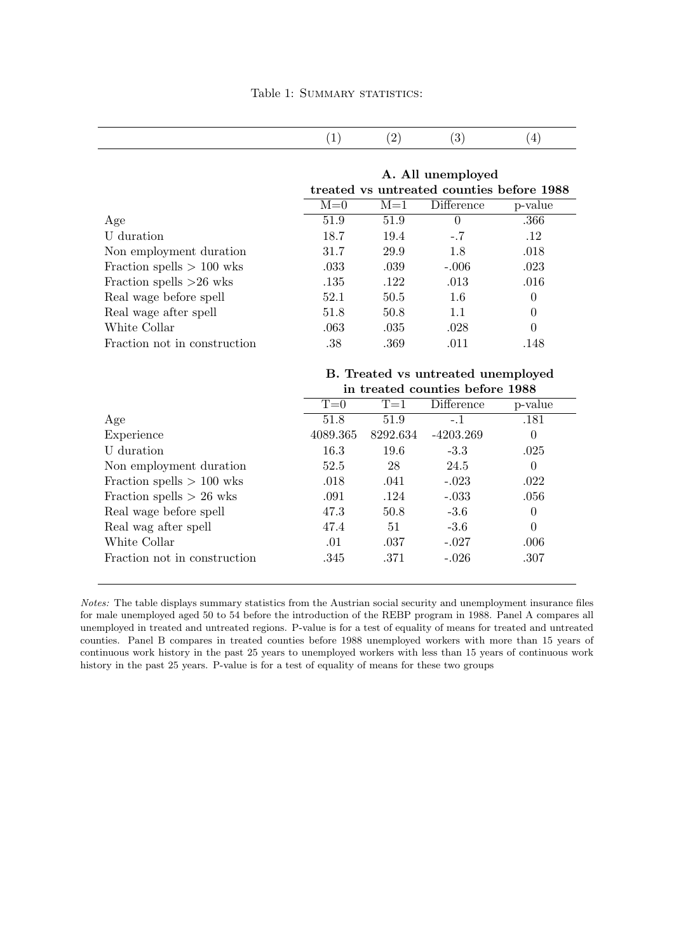#### A. All unemployed treated vs untreated counties before 1988

|                              | $M=0$ | $M=1$ | Difference | p-value  |
|------------------------------|-------|-------|------------|----------|
| Age                          | 51.9  | 51.9  | $\theta$   | .366     |
| U duration                   | 18.7  | 19.4  | $-.7$      | .12      |
| Non employment duration      | 31.7  | 29.9  | 1.8        | .018     |
| Fraction spells $> 100$ wks  | .033  | .039  | $-.006$    | .023     |
| Fraction spells $>26$ wks    | .135  | .122  | .013       | .016     |
| Real wage before spell       | 52.1  | 50.5  | 1.6        | $\theta$ |
| Real wage after spell        | 51.8  | 50.8  | 1.1        | $\theta$ |
| White Collar                 | .063  | .035  | .028       | $\theta$ |
| Fraction not in construction | .38   | .369  | .011       | .148     |

#### B. Treated vs untreated unemployed in treated counties before 1988

|                              | $T=0$    | Difference<br>$T=1$ |             | p-value  |  |  |
|------------------------------|----------|---------------------|-------------|----------|--|--|
| Age                          | 51.8     | 51.9                | $-.1$       | .181     |  |  |
| Experience                   | 4089.365 | 8292.634            | $-4203.269$ | $\theta$ |  |  |
| U duration                   | 16.3     | 19.6                | $-3.3$      | .025     |  |  |
| Non employment duration      | 52.5     | 28                  | 24.5        | $\Omega$ |  |  |
| Fraction spells $> 100$ wks  | .018     | .041                | $-.023$     | .022     |  |  |
| Fraction spells $> 26$ wks   | .091     | .124                | $-.033$     | .056     |  |  |
| Real wage before spell       | 47.3     | 50.8                | $-3.6$      | 0        |  |  |
| Real wag after spell         | 47.4     | 51                  | $-3.6$      | $\theta$ |  |  |
| White Collar                 | .01      | .037                | $-.027$     | .006     |  |  |
| Fraction not in construction | .345     | .371                | $-.026$     | .307     |  |  |
|                              |          |                     |             |          |  |  |

Notes: The table displays summary statistics from the Austrian social security and unemployment insurance files for male unemployed aged 50 to 54 before the introduction of the REBP program in 1988. Panel A compares all unemployed in treated and untreated regions. P-value is for a test of equality of means for treated and untreated counties. Panel B compares in treated counties before 1988 unemployed workers with more than 15 years of continuous work history in the past 25 years to unemployed workers with less than 15 years of continuous work history in the past 25 years. P-value is for a test of equality of means for these two groups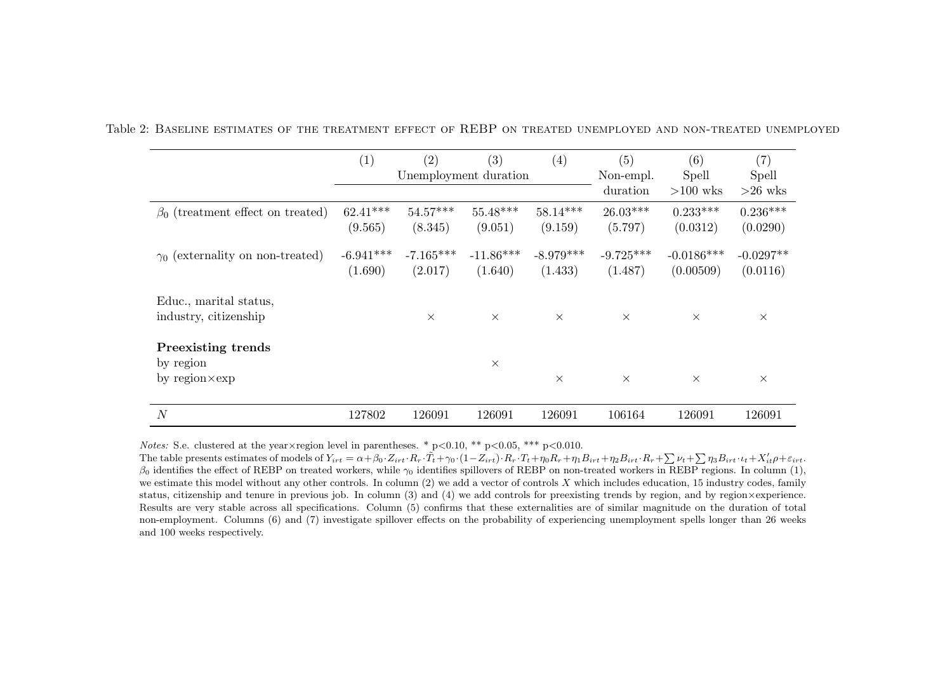|                                                           | (1)                    | (2)                    | (3)                    | (4)                    | (5)                    | (6)                       | (7)                     |
|-----------------------------------------------------------|------------------------|------------------------|------------------------|------------------------|------------------------|---------------------------|-------------------------|
|                                                           | Unemployment duration  |                        |                        |                        | Non-empl.<br>duration  | Spell<br>$>100$ wks       | Spell<br>$>26$ wks      |
| $\beta_0$ (treatment effect on treated)                   | $62.41***$<br>(9.565)  | $54.57***$<br>(8.345)  | $55.48***$<br>(9.051)  | $58.14***$<br>(9.159)  | $26.03***$<br>(5.797)  | $0.233***$<br>(0.0312)    | $0.236***$<br>(0.0290)  |
| $\gamma_0$ (externality on non-treated)                   | $-6.941***$<br>(1.690) | $-7.165***$<br>(2.017) | $-11.86***$<br>(1.640) | $-8.979***$<br>(1.433) | $-9.725***$<br>(1.487) | $-0.0186***$<br>(0.00509) | $-0.0297**$<br>(0.0116) |
| Educ., marital status,<br>industry, citizenship           |                        | $\times$               | $\times$               | $\times$               | $\times$               | $\times$                  | $\times$                |
| Preexisting trends<br>by region<br>by $region \times exp$ |                        |                        | $\times$               | $\times$               | $\times$               | $\times$                  | $\times$                |
| $\overline{N}$                                            | 127802                 | 126091                 | 126091                 | 126091                 | 106164                 | 126091                    | 126091                  |

Table 2: Baseline estimates of the treatment effect of REBP on treated unemployed and non-treated unemployed

*Notes:* S.e. clustered at the year  $\times$  region level in parentheses. \* p $< 0.10$ , \*\* p $< 0.05$ , \*\*\* p $< 0.010$ .

The table presents estimates of models of  $Y_{irt} = \alpha + \beta_0 \cdot Z_{irt} \cdot R_r \cdot \tilde{T}_t + \gamma_0 \cdot (1 - Z_{irt}) \cdot R_r \cdot T_t + \eta_0 R_r + \eta_1 B_{irt} + \eta_2 B_{irt} \cdot R_r + \sum_i \nu_t + \sum_i \eta_3 B_{irt} \cdot \nu_t + X'_{it} \rho + \varepsilon_{irt}$  $\beta_0$  identifies the effect of REBP on treated workers, while  $\gamma_0$  identifies spillovers of REBP on non-treated workers in REBP regions. In column (1), we estimate this model without any other controls. In column  $(2)$  we add a vector of controls X which includes education, 15 industry codes, family status, citizenship and tenure in previous job. In column (3) and (4) we add controls for preexisting trends by region, and by region×experience. Results are very stable across all specifications. Column (5) confirms that these externalities are of similar magnitude on the duration of total non-employment. Columns (6) and (7) investigate spillover effects on the probability of experiencing unemployment spells longer than <sup>26</sup> weeksand 100 weeks respectively.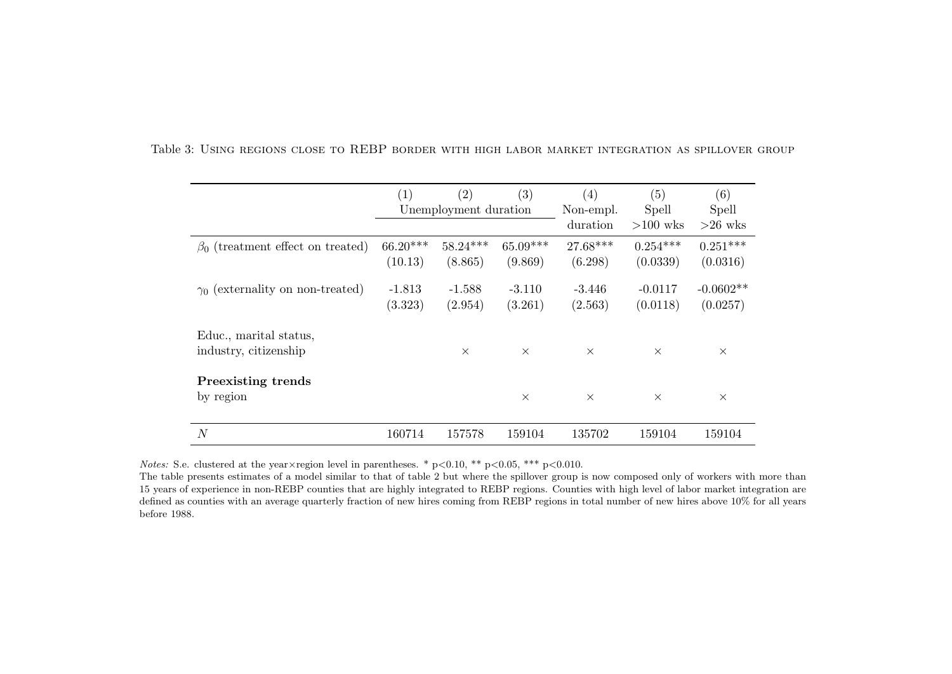|                                         | $\left( 1\right)$     | $\left( 2\right)$ | $\left( 3\right)$ | (4)      | (5)        | (6)         |
|-----------------------------------------|-----------------------|-------------------|-------------------|----------|------------|-------------|
|                                         | Unemployment duration |                   | Non-empl.         | Spell    | Spell      |             |
|                                         |                       |                   |                   | duration | $>100$ wks | $>26$ wks   |
| $\beta_0$ (treatment effect on treated) | $66.20***$            | $58.24***$        | $65.09***$        | 27.68*** | $0.254***$ | $0.251***$  |
|                                         | (10.13)               | (8.865)           | (9.869)           | (6.298)  | (0.0339)   | (0.0316)    |
| $\gamma_0$ (externality on non-treated) | $-1.813$              | $-1.588$          | $-3.110$          | $-3.446$ | $-0.0117$  | $-0.0602**$ |
|                                         | (3.323)               | (2.954)           | (3.261)           | (2.563)  | (0.0118)   | (0.0257)    |
| Educ., marital status,                  |                       |                   |                   |          |            |             |
| industry, citizenship                   |                       | $\times$          | $\times$          | $\times$ | $\times$   | $\times$    |
| <b>Preexisting trends</b>               |                       |                   |                   |          |            |             |
| by region                               |                       |                   | $\times$          | $\times$ | $\times$   | $\times$    |
| $\cal N$                                | 160714                | 157578            | 159104            | 135702   | 159104     | 159104      |

Table 3: Using regions close to REBP border with high labor market integration as spillover group

*Notes:* S.e. clustered at the year  $\times$  region level in parentheses. \* p $< 0.10$ , \*\* p $< 0.05$ , \*\*\* p $< 0.010$ .

The table presents estimates of <sup>a</sup> model similar to that of table 2 but where the spillover group is now composed only of workers with more than 15 years of experience in non-REBP counties that are highly integrated to REBP regions. Counties with high level of labor market integration are defined as counties with an average quarterly fraction of new hires coming from REBP regions in total number of new hires above 10% for all yearsbefore 1988.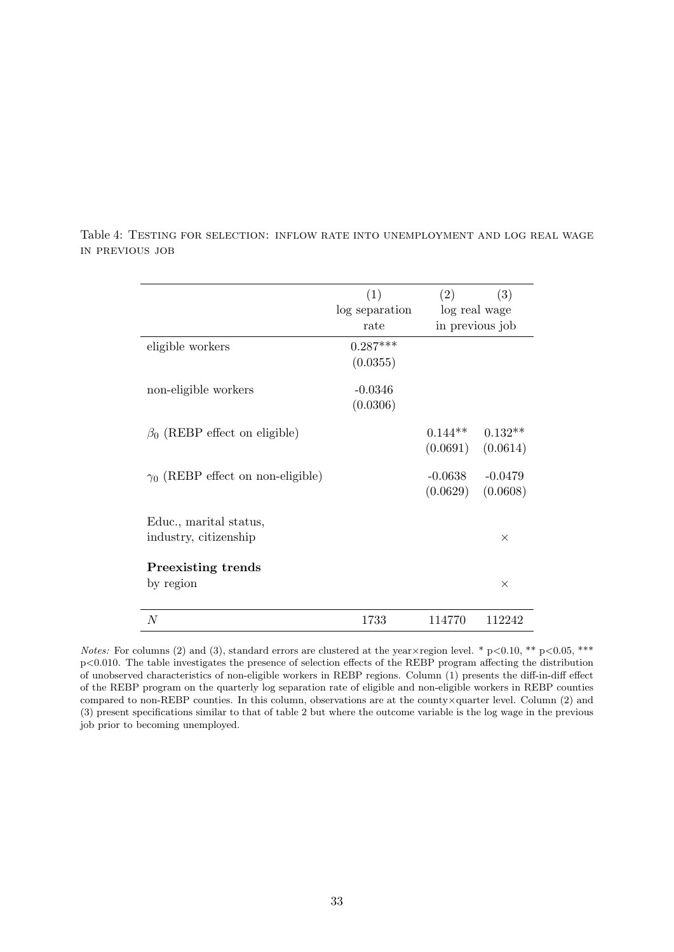|                                                 | (1)<br>log separation<br>rate | (2)<br>(3)<br>log real wage<br>in previous job |                       |  |
|-------------------------------------------------|-------------------------------|------------------------------------------------|-----------------------|--|
| eligible workers                                | $0.287***$<br>(0.0355)        |                                                |                       |  |
| non-eligible workers                            | $-0.0346$<br>(0.0306)         |                                                |                       |  |
| $\beta_0$ (REBP effect on eligible)             |                               | $0.144**$<br>(0.0691)                          | $0.132**$<br>(0.0614) |  |
| $\gamma_0$ (REBP effect on non-eligible)        |                               | $-0.0638$<br>(0.0629)                          | $-0.0479$<br>(0.0608) |  |
| Educ., marital status,<br>industry, citizenship |                               |                                                | X                     |  |
| Preexisting trends<br>by region                 |                               |                                                | $\times$              |  |
| N                                               | 1733                          | 114770                                         | 112242                |  |

Table 4: Testing for selection: inflow rate into unemployment and log real wage in previous job

Notes: For columns (2) and (3), standard errors are clustered at the year  $\times$  region level. \* p<0.10, \*\* p<0.05, \*\*\* p<0.010. The table investigates the presence of selection effects of the REBP program affecting the distribution of unobserved characteristics of non-eligible workers in REBP regions. Column (1) presents the diff-in-diff effect of the REBP program on the quarterly log separation rate of eligible and non-eligible workers in REBP counties compared to non-REBP counties. In this column, observations are at the county×quarter level. Column (2) and (3) present specifications similar to that of table 2 but where the outcome variable is the log wage in the previous job prior to becoming unemployed.